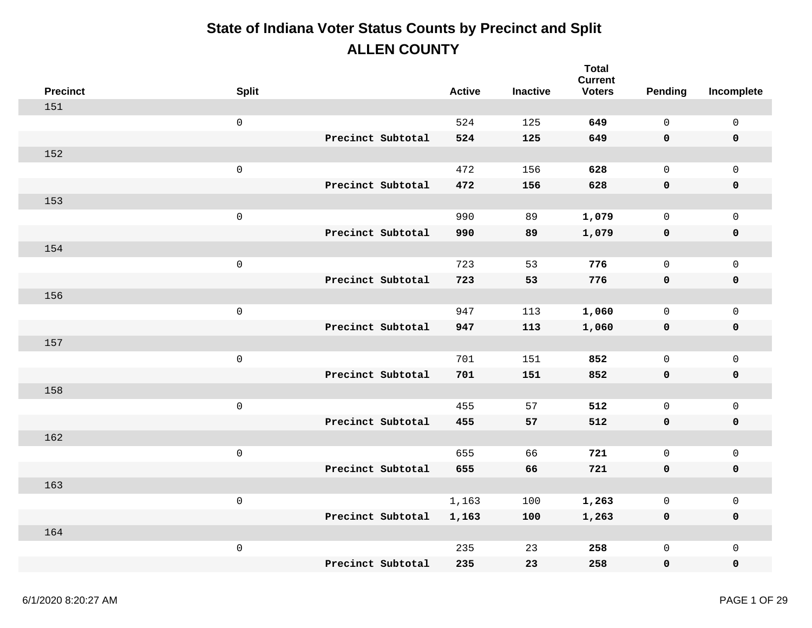| <b>Precinct</b> | <b>Split</b>        |                   | <b>Active</b> | <b>Inactive</b> | <b>Total</b><br><b>Current</b><br><b>Voters</b> | Pending      | Incomplete          |
|-----------------|---------------------|-------------------|---------------|-----------------|-------------------------------------------------|--------------|---------------------|
| 151             |                     |                   |               |                 |                                                 |              |                     |
|                 | $\mathsf 0$         |                   | 524           | 125             | 649                                             | $\mathbf 0$  | $\mathsf{O}\xspace$ |
|                 |                     | Precinct Subtotal | 524           | 125             | 649                                             | 0            | $\pmb{0}$           |
| 152             |                     |                   |               |                 |                                                 |              |                     |
|                 | $\mathsf{O}\xspace$ |                   | 472           | 156             | 628                                             | $\mathsf{O}$ | $\mathbf 0$         |
|                 |                     | Precinct Subtotal | 472           | 156             | 628                                             | 0            | $\pmb{0}$           |
| 153             |                     |                   |               |                 |                                                 |              |                     |
|                 | $\mathbf 0$         |                   | 990           | 89              | 1,079                                           | $\mathbf 0$  | $\mathsf{O}$        |
|                 |                     | Precinct Subtotal | 990           | 89              | 1,079                                           | 0            | $\pmb{0}$           |
| 154             |                     |                   |               |                 |                                                 |              |                     |
|                 | $\mathsf 0$         |                   | 723           | 53              | 776                                             | $\mathsf{O}$ | $\mathbf 0$         |
|                 |                     | Precinct Subtotal | 723           | 53              | 776                                             | 0            | $\pmb{0}$           |
| 156             |                     |                   |               |                 |                                                 |              |                     |
|                 | $\mathsf 0$         |                   | 947           | 113             | 1,060                                           | $\mathsf{O}$ | $\mathsf{O}$        |
|                 |                     | Precinct Subtotal | 947           | 113             | 1,060                                           | 0            | $\pmb{0}$           |
| 157             |                     |                   |               |                 |                                                 |              |                     |
|                 | $\mathsf{O}\xspace$ |                   | 701           | 151             | 852                                             | $\mathsf{O}$ | $\mathsf{O}$        |
|                 |                     | Precinct Subtotal | 701           | 151             | 852                                             | 0            | $\pmb{0}$           |
| 158             |                     |                   |               |                 |                                                 |              |                     |
|                 | $\mathsf 0$         |                   | 455           | 57              | 512                                             | $\mathsf{O}$ | $\mathsf{O}$        |
|                 |                     | Precinct Subtotal | 455           | 57              | 512                                             | 0            | $\mathbf 0$         |
| 162             |                     |                   |               |                 |                                                 |              |                     |
|                 | $\mathsf{O}\xspace$ |                   | 655           | 66              | 721                                             | $\mathsf{O}$ | $\mathsf{O}\xspace$ |
|                 |                     | Precinct Subtotal | 655           | 66              | 721                                             | 0            | $\pmb{0}$           |
| 163             |                     |                   |               |                 |                                                 |              |                     |
|                 | $\mathsf 0$         |                   | 1,163         | 100             | 1,263                                           | $\mathsf{O}$ | $\mathsf{O}\xspace$ |
|                 |                     | Precinct Subtotal | 1,163         | 100             | 1,263                                           | 0            | $\mathbf 0$         |
| 164             |                     |                   |               |                 |                                                 |              |                     |
|                 | $\,0\,$             |                   | 235           | 23              | 258                                             | $\mathsf{O}$ | $\mathsf{O}\xspace$ |
|                 |                     | Precinct Subtotal | 235           | 23              | 258                                             | 0            | $\mathbf 0$         |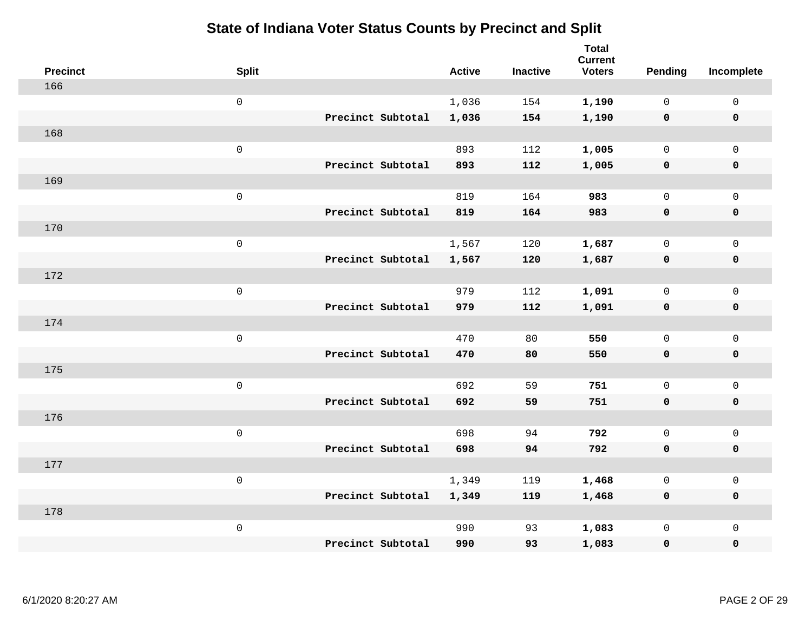|     | <b>Precinct</b> | <b>Split</b>        |                   | <b>Active</b> | <b>Inactive</b> | <b>Total</b><br><b>Current</b><br><b>Voters</b> | Pending      | Incomplete          |
|-----|-----------------|---------------------|-------------------|---------------|-----------------|-------------------------------------------------|--------------|---------------------|
| 166 |                 |                     |                   |               |                 |                                                 |              |                     |
|     |                 | $\mathbf 0$         |                   | 1,036         | 154             | 1,190                                           | $\mathbf 0$  | $\mathsf{O}$        |
|     |                 |                     | Precinct Subtotal | 1,036         | 154             | 1,190                                           | $\mathbf 0$  | $\pmb{0}$           |
| 168 |                 |                     |                   |               |                 |                                                 |              |                     |
|     |                 | $\,0\,$             |                   | 893           | 112             | 1,005                                           | $\mathsf{O}$ | $\mathsf{O}$        |
|     |                 |                     | Precinct Subtotal | 893           | 112             | 1,005                                           | $\mathbf 0$  | 0                   |
| 169 |                 |                     |                   |               |                 |                                                 |              |                     |
|     |                 | $\mathbf 0$         |                   | 819           | 164             | 983                                             | $\mathbf 0$  | $\mathsf{O}\xspace$ |
|     |                 |                     | Precinct Subtotal | 819           | 164             | 983                                             | 0            | 0                   |
| 170 |                 |                     |                   |               |                 |                                                 |              |                     |
|     |                 | $\mathsf{O}\xspace$ |                   | 1,567         | 120             | 1,687                                           | $\mathsf{O}$ | $\mathsf{O}\xspace$ |
|     |                 |                     | Precinct Subtotal | 1,567         | 120             | 1,687                                           | $\mathbf 0$  | 0                   |
| 172 |                 |                     |                   |               |                 |                                                 |              |                     |
|     |                 | $\mathbf 0$         |                   | 979           | 112             | 1,091                                           | $\mathbf 0$  | $\mathsf{O}$        |
|     |                 |                     | Precinct Subtotal | 979           | 112             | 1,091                                           | $\mathbf 0$  | 0                   |
| 174 |                 |                     |                   |               |                 |                                                 |              |                     |
|     |                 | $\mathsf{O}\xspace$ |                   | 470           | 80              | 550                                             | $\mathbf 0$  | $\mathsf{O}$        |
|     |                 |                     | Precinct Subtotal | 470           | 80              | 550                                             | 0            | 0                   |
| 175 |                 |                     |                   |               |                 |                                                 |              |                     |
|     |                 | $\mathbf 0$         |                   | 692           | 59              | 751                                             | $\mathsf{O}$ | $\mathsf{O}\xspace$ |
|     |                 |                     | Precinct Subtotal | 692           | 59              | 751                                             | 0            | 0                   |
| 176 |                 |                     |                   |               |                 |                                                 |              |                     |
|     |                 | $\mathbf 0$         |                   | 698           | 94              | 792                                             | $\mathsf{O}$ | $\mathsf{O}\xspace$ |
|     |                 |                     | Precinct Subtotal | 698           | 94              | 792                                             | $\mathbf 0$  | 0                   |
| 177 |                 |                     |                   |               |                 |                                                 |              |                     |
|     |                 | $\mathbf 0$         |                   | 1,349         | 119             | 1,468                                           | 0            | $\mathsf 0$         |
|     |                 |                     | Precinct Subtotal | 1,349         | 119             | 1,468                                           | $\mathbf 0$  | 0                   |
| 178 |                 |                     |                   |               |                 |                                                 |              |                     |
|     |                 | $\mathbf 0$         |                   | 990           | 93              | 1,083                                           | $\mathsf{O}$ | $\mathsf{O}$        |
|     |                 |                     | Precinct Subtotal | 990           | 93              | 1,083                                           | 0            | 0                   |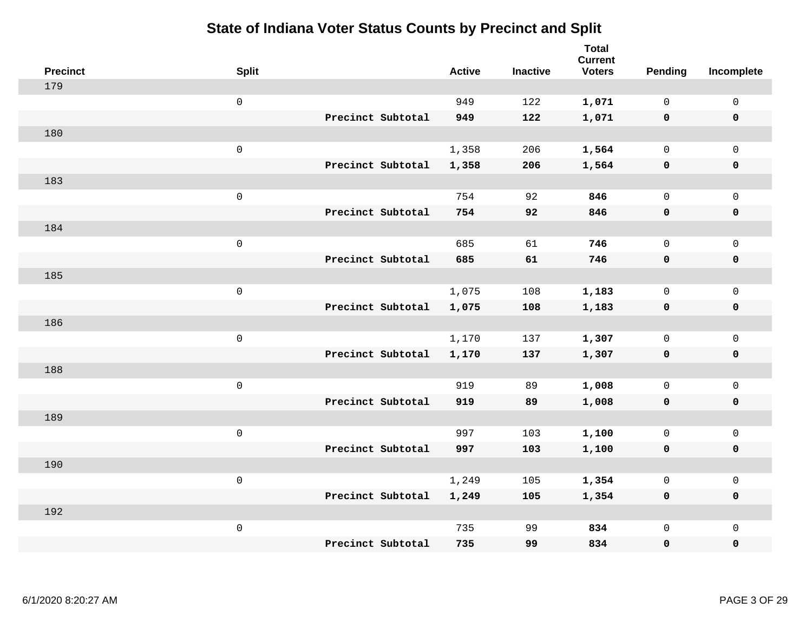| <b>Precinct</b> | <b>Split</b>        |                   | <b>Active</b> | <b>Inactive</b> | <b>Total</b><br><b>Current</b><br><b>Voters</b> | <b>Pending</b> | Incomplete          |
|-----------------|---------------------|-------------------|---------------|-----------------|-------------------------------------------------|----------------|---------------------|
| 179             |                     |                   |               |                 |                                                 |                |                     |
|                 | $\mathsf{O}\xspace$ |                   | 949           | 122             | 1,071                                           | $\mathbf{0}$   | 0                   |
|                 |                     | Precinct Subtotal | 949           | 122             | 1,071                                           | $\mathbf 0$    | $\mathbf 0$         |
| 180             |                     |                   |               |                 |                                                 |                |                     |
|                 | $\mathsf 0$         |                   | 1,358         | 206             | 1,564                                           | $\mathbf{0}$   | $\mathbf 0$         |
|                 |                     | Precinct Subtotal | 1,358         | 206             | 1,564                                           | $\mathbf 0$    | $\pmb{0}$           |
| 183             |                     |                   |               |                 |                                                 |                |                     |
|                 | $\mathsf 0$         |                   | 754           | 92              | 846                                             | $\mathbf{0}$   | $\mathsf{O}$        |
|                 |                     | Precinct Subtotal | 754           | 92              | 846                                             | 0              | $\mathbf 0$         |
| 184             |                     |                   |               |                 |                                                 |                |                     |
|                 | $\mathsf 0$         |                   | 685           | 61              | 746                                             | $\mathsf{O}$   | $\mathsf{O}$        |
|                 |                     | Precinct Subtotal | 685           | 61              | 746                                             | $\mathbf 0$    | $\pmb{0}$           |
| 185             |                     |                   |               |                 |                                                 |                |                     |
|                 | $\mathsf 0$         |                   | 1,075         | 108             | 1,183                                           | $\mathbf{0}$   | $\mathsf{O}$        |
|                 |                     | Precinct Subtotal | 1,075         | 108             | 1,183                                           | 0              | $\mathbf 0$         |
| 186             |                     |                   |               |                 |                                                 |                |                     |
|                 | $\mathsf{O}\xspace$ |                   | 1,170         | 137             | 1,307                                           | $\mathsf{O}$   | $\mathsf{O}\xspace$ |
|                 |                     | Precinct Subtotal | 1,170         | 137             | 1,307                                           | $\mathbf 0$    | $\mathbf 0$         |
| 188             |                     |                   |               |                 |                                                 |                |                     |
|                 | $\mathsf{O}\xspace$ |                   | 919           | 89              | 1,008                                           | $\mathbf{0}$   | $\mathsf{O}$        |
|                 |                     | Precinct Subtotal | 919           | 89              | 1,008                                           | $\mathbf 0$    | $\mathbf 0$         |
| 189             |                     |                   |               |                 |                                                 |                |                     |
|                 | $\mathsf 0$         |                   | 997           | 103             | 1,100                                           | 0              | $\mathsf{O}$        |
|                 |                     | Precinct Subtotal | 997           | 103             | 1,100                                           | $\mathbf 0$    | 0                   |
| 190             |                     |                   |               |                 |                                                 |                |                     |
|                 | $\mathsf 0$         |                   | 1,249         | 105             | 1,354                                           | 0              | $\mathsf{O}$        |
|                 |                     | Precinct Subtotal | 1,249         | 105             | 1,354                                           | 0              | 0                   |
| 192             |                     |                   |               |                 |                                                 |                |                     |
|                 | $\mathsf 0$         |                   | 735           | 99              | 834                                             | 0              | $\mathsf{O}$        |
|                 |                     | Precinct Subtotal | 735           | 99              | 834                                             | 0              | $\mathbf 0$         |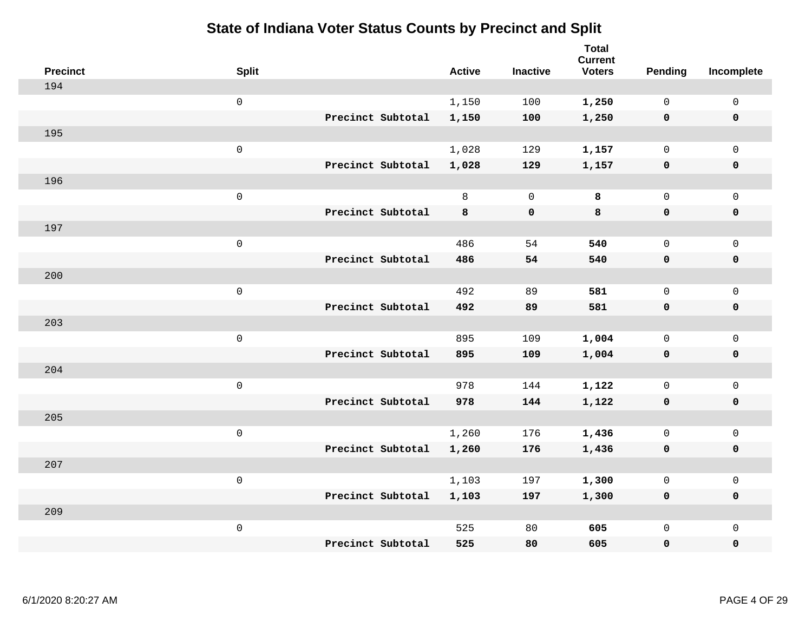| <b>Precinct</b> | <b>Split</b>        |                   | <b>Active</b> | <b>Inactive</b> | <b>Total</b><br><b>Current</b><br><b>Voters</b> | <b>Pending</b> | Incomplete          |
|-----------------|---------------------|-------------------|---------------|-----------------|-------------------------------------------------|----------------|---------------------|
| 194             |                     |                   |               |                 |                                                 |                |                     |
|                 | $\mathsf{O}$        |                   | 1,150         | 100             | 1,250                                           | $\mathbf 0$    | $\mathbf 0$         |
|                 |                     | Precinct Subtotal | 1,150         | 100             | 1,250                                           | $\mathbf 0$    | $\mathbf 0$         |
| 195             |                     |                   |               |                 |                                                 |                |                     |
|                 | $\mathsf{O}\xspace$ |                   | 1,028         | 129             | 1,157                                           | $\mathsf{O}$   | $\mathsf{O}$        |
|                 |                     | Precinct Subtotal | 1,028         | 129             | 1,157                                           | $\mathbf 0$    | $\pmb{0}$           |
| 196             |                     |                   |               |                 |                                                 |                |                     |
|                 | $\mathsf 0$         |                   | 8             | $\mathbf 0$     | 8                                               | $\mathbf 0$    | $\mathsf{O}$        |
|                 |                     | Precinct Subtotal | 8             | $\mathbf 0$     | 8                                               | 0              | $\mathbf 0$         |
| 197             |                     |                   |               |                 |                                                 |                |                     |
|                 | $\mathsf{O}\xspace$ |                   | 486           | 54              | 540                                             | $\mathbf{0}$   | $\mathbf 0$         |
|                 |                     | Precinct Subtotal | 486           | 54              | 540                                             | $\mathbf 0$    | $\mathbf 0$         |
| 200             |                     |                   |               |                 |                                                 |                |                     |
|                 | $\mathsf 0$         |                   | 492           | 89              | 581                                             | $\mathbf 0$    | $\mathbf 0$         |
|                 |                     | Precinct Subtotal | 492           | 89              | 581                                             | 0              | $\mathbf 0$         |
| 203             |                     |                   |               |                 |                                                 |                |                     |
|                 | $\mathsf 0$         |                   | 895           | 109             | 1,004                                           | $\mathsf{O}$   | $\mathsf{O}$        |
|                 |                     | Precinct Subtotal | 895           | 109             | 1,004                                           | 0              | $\pmb{0}$           |
| 204             |                     |                   |               |                 |                                                 |                |                     |
|                 | $\mathsf 0$         |                   | 978           | 144             | 1,122                                           | $\mathsf{O}$   | $\mathsf{O}$        |
|                 |                     | Precinct Subtotal | 978           | 144             | 1,122                                           | 0              | $\mathbf 0$         |
| 205             |                     |                   |               |                 |                                                 |                |                     |
|                 | $\mathsf 0$         |                   | 1,260         | 176             | 1,436                                           | $\mathsf{O}$   | $\mathsf{O}\xspace$ |
|                 |                     | Precinct Subtotal | 1,260         | 176             | 1,436                                           | $\mathbf 0$    | $\mathbf 0$         |
| 207             |                     |                   |               |                 |                                                 |                |                     |
|                 | $\mathsf 0$         |                   | 1,103         | 197             | 1,300                                           | $\mathsf{O}$   | $\mathsf 0$         |
|                 |                     | Precinct Subtotal | 1,103         | 197             | 1,300                                           | 0              | $\mathbf 0$         |
| 209             |                     |                   |               |                 |                                                 |                |                     |
|                 | $\mathsf 0$         |                   | 525           | 80              | 605                                             | 0              | $\mathsf{O}$        |
|                 |                     | Precinct Subtotal | 525           | 80              | 605                                             | 0              | $\mathbf 0$         |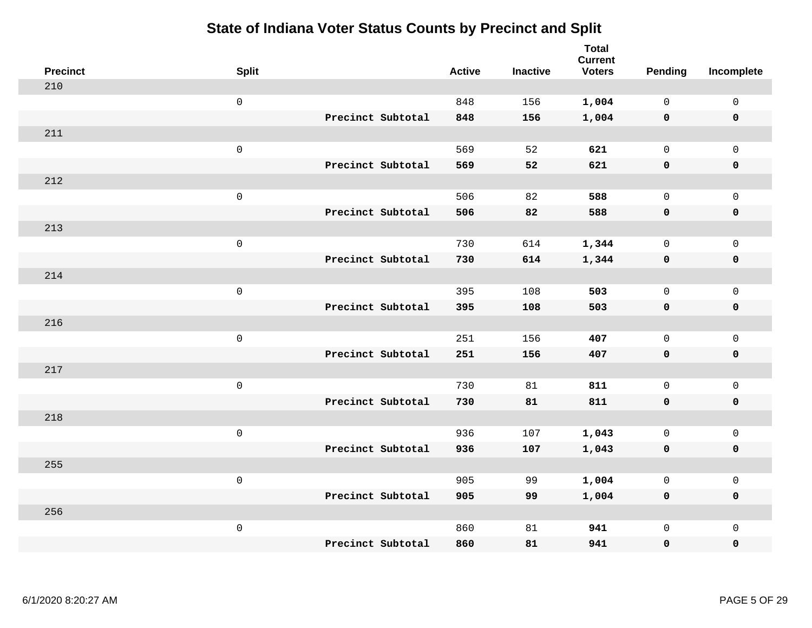| <b>Precinct</b> | <b>Split</b>        |                   | <b>Active</b> | <b>Inactive</b> | <b>Total</b><br><b>Current</b><br><b>Voters</b> | Pending      | Incomplete          |
|-----------------|---------------------|-------------------|---------------|-----------------|-------------------------------------------------|--------------|---------------------|
| 210             |                     |                   |               |                 |                                                 |              |                     |
|                 | $\mathsf{O}\xspace$ |                   | 848           | 156             | 1,004                                           | $\mathbf 0$  | $\mathsf{O}\xspace$ |
|                 |                     | Precinct Subtotal | 848           | 156             | 1,004                                           | $\mathbf 0$  | $\pmb{0}$           |
| 211             |                     |                   |               |                 |                                                 |              |                     |
|                 | $\mathsf{O}\xspace$ |                   | 569           | 52              | 621                                             | $\mathbf 0$  | $\mathbf{0}$        |
|                 |                     | Precinct Subtotal | 569           | 52              | 621                                             | $\mathbf 0$  | $\pmb{0}$           |
| 212             |                     |                   |               |                 |                                                 |              |                     |
|                 | $\mathsf 0$         |                   | 506           | 82              | 588                                             | $\mathsf{O}$ | $\mathsf{O}\xspace$ |
|                 |                     | Precinct Subtotal | 506           | 82              | 588                                             | 0            | 0                   |
| 213             |                     |                   |               |                 |                                                 |              |                     |
|                 | $\mathsf{O}\xspace$ |                   | 730           | 614             | 1,344                                           | $\mathbf 0$  | $\mathsf{O}$        |
|                 |                     | Precinct Subtotal | 730           | 614             | 1,344                                           | $\mathbf 0$  | 0                   |
| 214             |                     |                   |               |                 |                                                 |              |                     |
|                 | $\mathsf{O}\xspace$ |                   | 395           | 108             | 503                                             | $\mathbf 0$  | $\mathsf{O}\xspace$ |
|                 |                     | Precinct Subtotal | 395           | 108             | 503                                             | 0            | 0                   |
| 216             |                     |                   |               |                 |                                                 |              |                     |
|                 | $\mathsf{O}\xspace$ |                   | 251           | 156             | 407                                             | $\mathbf{0}$ | $\mathsf{O}\xspace$ |
|                 |                     | Precinct Subtotal | 251           | 156             | 407                                             | $\mathbf 0$  | 0                   |
| 217             |                     |                   |               |                 |                                                 |              |                     |
|                 | $\mathsf{O}\xspace$ |                   | 730           | 81              | 811                                             | $\mathbf 0$  | $\mathsf{O}$        |
|                 |                     | Precinct Subtotal | 730           | 81              | 811                                             | 0            | 0                   |
| 218             |                     |                   |               |                 |                                                 |              |                     |
|                 | $\mathsf 0$         |                   | 936           | 107             | 1,043                                           | $\mathsf{O}$ | $\mathsf{O}\xspace$ |
|                 |                     | Precinct Subtotal | 936           | 107             | 1,043                                           | 0            | 0                   |
| 255             |                     |                   |               |                 |                                                 |              |                     |
|                 | $\mathsf 0$         |                   | 905           | 99              | 1,004                                           | $\mathsf{O}$ | $\mathsf{O}\xspace$ |
|                 |                     | Precinct Subtotal | 905           | 99              | 1,004                                           | 0            | 0                   |
| 256             |                     |                   |               |                 |                                                 |              |                     |
|                 | $\mathsf 0$         |                   | 860           | 81              | 941                                             | $\mathsf{O}$ | $\mathsf{O}$        |
|                 |                     | Precinct Subtotal | 860           | 81              | 941                                             | 0            | 0                   |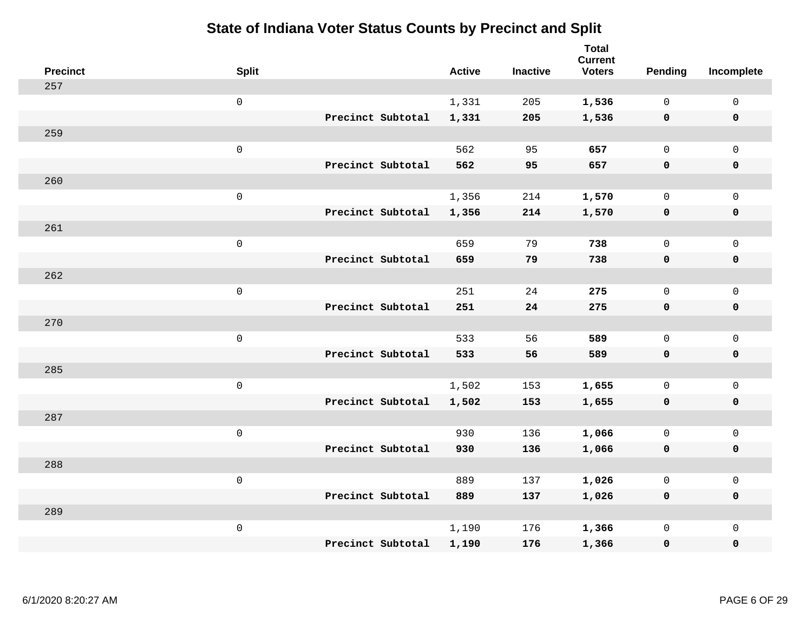| <b>Precinct</b> | <b>Split</b>        |                   | <b>Active</b> | <b>Inactive</b> | <b>Total</b><br><b>Current</b><br><b>Voters</b> | Pending      | Incomplete   |
|-----------------|---------------------|-------------------|---------------|-----------------|-------------------------------------------------|--------------|--------------|
| 257             |                     |                   |               |                 |                                                 |              |              |
|                 | $\mathsf 0$         |                   | 1,331         | 205             | 1,536                                           | 0            | $\mathsf 0$  |
|                 |                     | Precinct Subtotal | 1,331         | 205             | 1,536                                           | $\mathbf 0$  | $\mathbf 0$  |
| 259             |                     |                   |               |                 |                                                 |              |              |
|                 | $\mathsf{O}\xspace$ |                   | 562           | 95              | 657                                             | $\mathbf{0}$ | $\mathbf 0$  |
|                 |                     | Precinct Subtotal | 562           | 95              | 657                                             | $\mathbf 0$  | $\mathbf 0$  |
| 260             |                     |                   |               |                 |                                                 |              |              |
|                 | $\mathsf{O}\xspace$ |                   | 1,356         | 214             | 1,570                                           | $\mathbf{0}$ | $\mathbf{0}$ |
|                 |                     | Precinct Subtotal | 1,356         | 214             | 1,570                                           | $\mathbf 0$  | $\pmb{0}$    |
| 261             |                     |                   |               |                 |                                                 |              |              |
|                 | $\mathsf 0$         |                   | 659           | 79              | 738                                             | 0            | $\mathsf{O}$ |
|                 |                     | Precinct Subtotal | 659           | 79              | 738                                             | $\mathbf 0$  | $\pmb{0}$    |
| 262             |                     |                   |               |                 |                                                 |              |              |
|                 | $\mathsf 0$         |                   | 251           | 24              | 275                                             | $\mathbf{0}$ | $\mathbf 0$  |
|                 |                     | Precinct Subtotal | 251           | 24              | 275                                             | 0            | $\mathbf 0$  |
| 270             |                     |                   |               |                 |                                                 |              |              |
|                 | $\mathsf{O}\xspace$ |                   | 533           | 56              | 589                                             | $\mathbf 0$  | $\mathbf 0$  |
|                 |                     | Precinct Subtotal | 533           | 56              | 589                                             | $\mathbf 0$  | $\mathbf 0$  |
| 285             |                     |                   |               |                 |                                                 |              |              |
|                 | $\mathsf 0$         |                   | 1,502         | 153             | 1,655                                           | 0            | $\mathbf 0$  |
|                 |                     | Precinct Subtotal | 1,502         | 153             | 1,655                                           | 0            | 0            |
| 287             |                     |                   |               |                 |                                                 |              |              |
|                 | $\mathsf 0$         |                   | 930           | 136             | 1,066                                           | $\mathsf{O}$ | $\mathsf{O}$ |
|                 |                     | Precinct Subtotal | 930           | 136             | 1,066                                           | 0            | $\mathbf 0$  |
| 288             |                     |                   |               |                 |                                                 |              |              |
|                 | $\mathsf 0$         |                   | 889           | 137             | 1,026                                           | 0            | $\mathsf{O}$ |
|                 |                     | Precinct Subtotal | 889           | 137             | 1,026                                           | 0            | $\pmb{0}$    |
| 289             |                     |                   |               |                 |                                                 |              |              |
|                 | $\mathbf 0$         |                   | 1,190         | 176             | 1,366                                           | 0            | $\mathsf{O}$ |
|                 |                     | Precinct Subtotal | 1,190         | 176             | 1,366                                           | 0            | $\mathbf 0$  |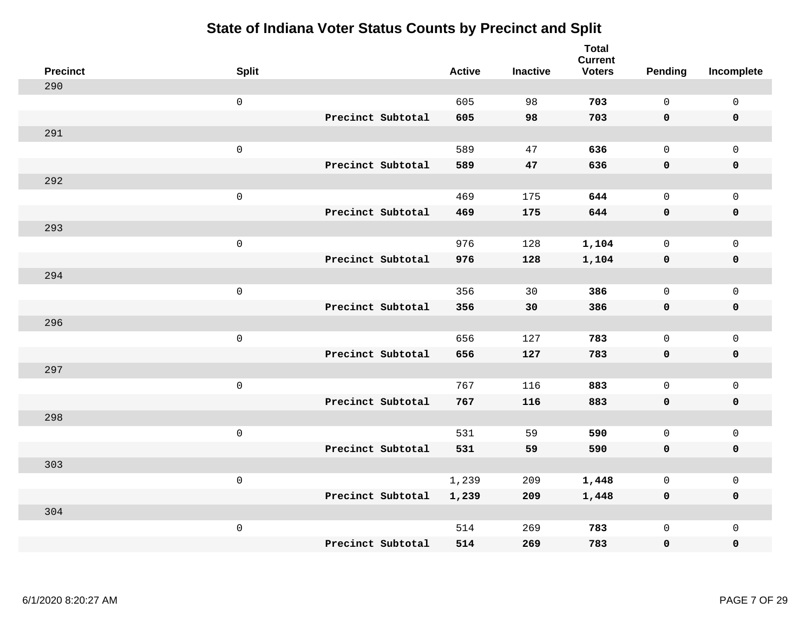| <b>Precinct</b> | <b>Split</b>        |                   | <b>Active</b> | <b>Inactive</b> | <b>Total</b><br><b>Current</b><br><b>Voters</b> | <b>Pending</b> | Incomplete  |
|-----------------|---------------------|-------------------|---------------|-----------------|-------------------------------------------------|----------------|-------------|
| 290             |                     |                   |               |                 |                                                 |                |             |
|                 | $\mathsf{O}\xspace$ |                   | 605           | 98              | 703                                             | $\mathbf 0$    | $\mathsf 0$ |
|                 |                     | Precinct Subtotal | 605           | 98              | 703                                             | $\mathbf 0$    | $\mathbf 0$ |
| 291             |                     |                   |               |                 |                                                 |                |             |
|                 | $\mathsf 0$         |                   | 589           | 47              | 636                                             | $\mathbf 0$    | $\mathbf 0$ |
|                 |                     | Precinct Subtotal | 589           | 47              | 636                                             | $\mathbf 0$    | $\pmb{0}$   |
| 292             |                     |                   |               |                 |                                                 |                |             |
|                 | $\mathsf 0$         |                   | 469           | 175             | 644                                             | $\mathbf 0$    | $\mathsf 0$ |
|                 |                     | Precinct Subtotal | 469           | 175             | 644                                             | $\mathbf 0$    | $\mathbf 0$ |
| 293             |                     |                   |               |                 |                                                 |                |             |
|                 | $\mathbf 0$         |                   | 976           | 128             | 1,104                                           | $\mathbf 0$    | $\mathbf 0$ |
|                 |                     | Precinct Subtotal | 976           | 128             | 1,104                                           | $\mathbf 0$    | $\mathbf 0$ |
| 294             |                     |                   |               |                 |                                                 |                |             |
|                 | $\mathsf 0$         |                   | 356           | 30              | 386                                             | $\Omega$       | $\mathbf 0$ |
|                 |                     | Precinct Subtotal | 356           | 30              | 386                                             | $\mathbf 0$    | $\mathbf 0$ |
| 296             |                     |                   |               |                 |                                                 |                |             |
|                 | $\mathbf 0$         |                   | 656           | 127             | 783                                             | $\mathbf 0$    | $\mathsf 0$ |
|                 |                     | Precinct Subtotal | 656           | 127             | 783                                             | $\mathbf 0$    | $\mathbf 0$ |
| 297             |                     |                   |               |                 |                                                 |                |             |
|                 | $\mathbf 0$         |                   | 767           | 116             | 883                                             | $\mathbf 0$    | $\mathsf 0$ |
|                 |                     | Precinct Subtotal | 767           | 116             | 883                                             | $\mathbf 0$    | $\mathbf 0$ |
| 298             |                     |                   |               |                 |                                                 |                |             |
|                 | $\mathbf 0$         |                   | 531           | 59              | 590                                             | $\mathbf 0$    | $\mathsf 0$ |
|                 |                     | Precinct Subtotal | 531           | 59              | 590                                             | $\mathbf 0$    | $\mathbf 0$ |
| 303             |                     |                   |               |                 |                                                 |                |             |
|                 | $\mathsf 0$         |                   | 1,239         | 209             | 1,448                                           | 0              | $\mathsf 0$ |
|                 |                     | Precinct Subtotal | 1,239         | 209             | 1,448                                           | $\mathbf 0$    | $\mathbf 0$ |
| 304             |                     |                   |               |                 |                                                 |                |             |
|                 | $\mathbf 0$         |                   | 514           | 269             | 783                                             | $\mathsf{O}$   | $\mathbf 0$ |
|                 |                     | Precinct Subtotal | 514           | 269             | 783                                             | $\mathbf 0$    | $\pmb{0}$   |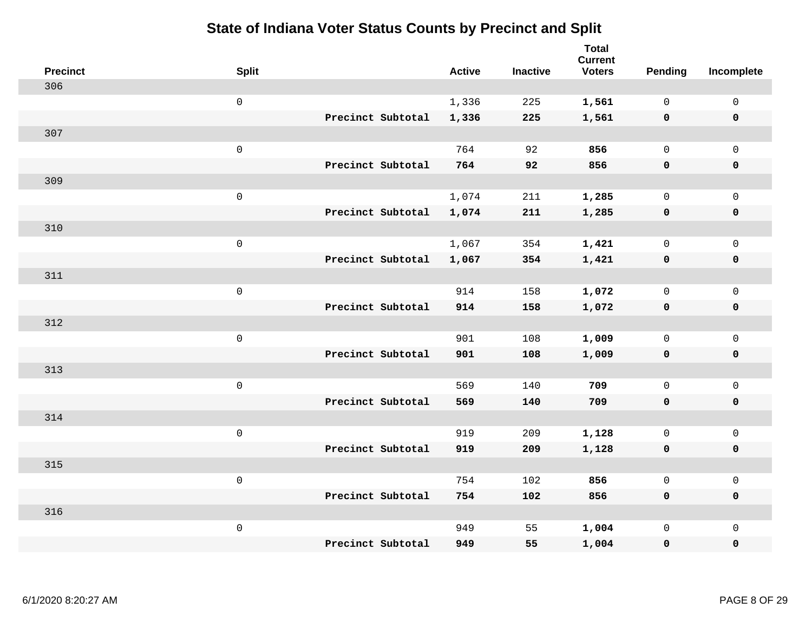| <b>Precinct</b> | <b>Split</b>        |                   | <b>Active</b> | <b>Inactive</b> | <b>Total</b><br><b>Current</b><br><b>Voters</b> | Pending      | Incomplete          |
|-----------------|---------------------|-------------------|---------------|-----------------|-------------------------------------------------|--------------|---------------------|
| 306             |                     |                   |               |                 |                                                 |              |                     |
|                 | $\mathsf{O}$        |                   | 1,336         | 225             | 1,561                                           | $\mathbf 0$  | $\mathsf{O}\xspace$ |
|                 |                     | Precinct Subtotal | 1,336         | 225             | 1,561                                           | $\mathbf 0$  | $\pmb{0}$           |
| 307             |                     |                   |               |                 |                                                 |              |                     |
|                 | $\mathsf 0$         |                   | 764           | 92              | 856                                             | $\mathbf 0$  | $\mathbf{0}$        |
|                 |                     | Precinct Subtotal | 764           | 92              | 856                                             | $\mathbf 0$  | $\pmb{0}$           |
| 309             |                     |                   |               |                 |                                                 |              |                     |
|                 | $\mathsf 0$         |                   | 1,074         | 211             | 1,285                                           | $\mathsf{O}$ | $\mathsf 0$         |
|                 |                     | Precinct Subtotal | 1,074         | 211             | 1,285                                           | $\mathbf 0$  | 0                   |
| 310             |                     |                   |               |                 |                                                 |              |                     |
|                 | $\mathsf{O}\xspace$ |                   | 1,067         | 354             | 1,421                                           | $\mathbf 0$  | $\mathsf{O}\xspace$ |
|                 |                     | Precinct Subtotal | 1,067         | 354             | 1,421                                           | $\mathbf 0$  | 0                   |
| 311             |                     |                   |               |                 |                                                 |              |                     |
|                 | $\mathbf 0$         |                   | 914           | 158             | 1,072                                           | $\mathbf 0$  | $\mathsf{O}\xspace$ |
|                 |                     | Precinct Subtotal | 914           | 158             | 1,072                                           | 0            | 0                   |
| 312             |                     |                   |               |                 |                                                 |              |                     |
|                 | $\mathsf{O}\xspace$ |                   | 901           | 108             | 1,009                                           | $\mathbf 0$  | $\mathsf{O}\xspace$ |
|                 |                     | Precinct Subtotal | 901           | 108             | 1,009                                           | $\mathbf 0$  | 0                   |
| 313             |                     |                   |               |                 |                                                 |              |                     |
|                 | $\mathbf 0$         |                   | 569           | 140             | 709                                             | $\mathbf 0$  | $\mathsf{O}$        |
|                 |                     | Precinct Subtotal | 569           | 140             | 709                                             | 0            | 0                   |
| 314             |                     |                   |               |                 |                                                 |              |                     |
|                 | $\mathsf{O}\xspace$ |                   | 919           | 209             | 1,128                                           | 0            | $\mathsf{O}\xspace$ |
|                 |                     | Precinct Subtotal | 919           | 209             | 1,128                                           | 0            | 0                   |
| 315             |                     |                   |               |                 |                                                 |              |                     |
|                 | $\mathsf 0$         |                   | 754           | 102             | 856                                             | $\mathsf{O}$ | $\mathsf{O}\xspace$ |
|                 |                     | Precinct Subtotal | 754           | 102             | 856                                             | 0            | 0                   |
| 316             |                     |                   |               |                 |                                                 |              |                     |
|                 | $\mathbf 0$         |                   | 949           | 55              | 1,004                                           | $\mathsf{O}$ | $\mathsf{O}$        |
|                 |                     | Precinct Subtotal | 949           | 55              | 1,004                                           | 0            | 0                   |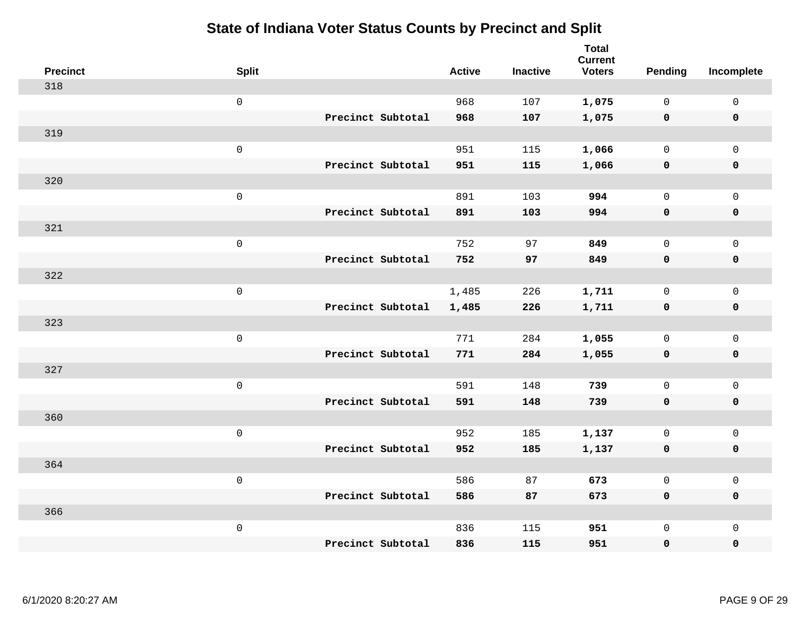| <b>Precinct</b> | <b>Split</b>        |                   | <b>Active</b> | <b>Inactive</b> | <b>Total</b><br><b>Current</b><br><b>Voters</b> | <b>Pending</b> | Incomplete   |
|-----------------|---------------------|-------------------|---------------|-----------------|-------------------------------------------------|----------------|--------------|
| 318             |                     |                   |               |                 |                                                 |                |              |
|                 | $\mathsf{O}\xspace$ |                   | 968           | 107             | 1,075                                           | $\mathbf 0$    | 0            |
|                 |                     | Precinct Subtotal | 968           | 107             | 1,075                                           | $\mathbf 0$    | $\mathbf 0$  |
| 319             |                     |                   |               |                 |                                                 |                |              |
|                 | $\mathsf{O}\xspace$ |                   | 951           | 115             | 1,066                                           | $\mathbf{0}$   | $\mathbf 0$  |
|                 |                     | Precinct Subtotal | 951           | 115             | 1,066                                           | $\mathbf 0$    | $\pmb{0}$    |
| 320             |                     |                   |               |                 |                                                 |                |              |
|                 | $\mathsf 0$         |                   | 891           | 103             | 994                                             | $\mathbf{0}$   | $\mathbf 0$  |
|                 |                     | Precinct Subtotal | 891           | 103             | 994                                             | 0              | $\mathbf 0$  |
| 321             |                     |                   |               |                 |                                                 |                |              |
|                 | $\mathsf{O}\xspace$ |                   | 752           | 97              | 849                                             | $\mathbf{0}$   | $\mathbf 0$  |
|                 |                     | Precinct Subtotal | 752           | 97              | 849                                             | $\mathbf 0$    | $\pmb{0}$    |
| 322             |                     |                   |               |                 |                                                 |                |              |
|                 | $\mathsf{O}\xspace$ |                   | 1,485         | 226             | 1,711                                           | $\mathbf{0}$   | $\mathsf{O}$ |
|                 |                     | Precinct Subtotal | 1,485         | 226             | 1,711                                           | 0              | $\mathbf 0$  |
| 323             |                     |                   |               |                 |                                                 |                |              |
|                 | $\mathsf{O}\xspace$ |                   | 771           | 284             | 1,055                                           | $\mathbf{0}$   | $\mathbf 0$  |
|                 |                     | Precinct Subtotal | 771           | 284             | 1,055                                           | $\mathbf 0$    | $\mathbf 0$  |
| 327             |                     |                   |               |                 |                                                 |                |              |
|                 | $\mathsf{O}$        |                   | 591           | 148             | 739                                             | $\mathbf{0}$   | $\mathbf 0$  |
|                 |                     | Precinct Subtotal | 591           | 148             | 739                                             | $\mathbf 0$    | $\mathbf 0$  |
| 360             |                     |                   |               |                 |                                                 |                |              |
|                 | $\mathsf{O}\xspace$ |                   | 952           | 185             | 1,137                                           | 0              | $\mathsf{O}$ |
|                 |                     | Precinct Subtotal | 952           | 185             | 1,137                                           | 0              | 0            |
| 364             |                     |                   |               |                 |                                                 |                |              |
|                 | $\mathsf 0$         |                   | 586           | 87              | 673                                             | $\mathsf{O}$   | $\mathsf{O}$ |
|                 |                     | Precinct Subtotal | 586           | 87              | 673                                             | $\mathbf 0$    | 0            |
| 366             |                     |                   |               |                 |                                                 |                |              |
|                 | $\mathsf 0$         |                   | 836           | 115             | 951                                             | 0              | $\mathbf 0$  |
|                 |                     | Precinct Subtotal | 836           | 115             | 951                                             | 0              | $\mathbf 0$  |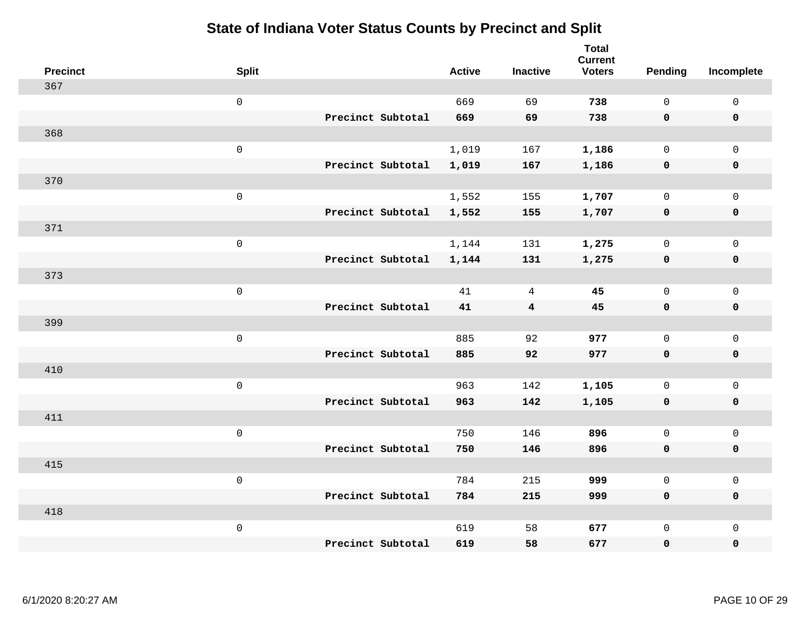| <b>Precinct</b> | <b>Split</b>        |                   | <b>Active</b> | <b>Inactive</b> | <b>Total</b><br><b>Current</b><br><b>Voters</b> | <b>Pending</b> | Incomplete          |
|-----------------|---------------------|-------------------|---------------|-----------------|-------------------------------------------------|----------------|---------------------|
| 367             |                     |                   |               |                 |                                                 |                |                     |
|                 | $\mathsf{O}\xspace$ |                   | 669           | 69              | 738                                             | $\mathbf 0$    | $\mathsf 0$         |
|                 |                     | Precinct Subtotal | 669           | 69              | 738                                             | $\mathbf 0$    | $\mathbf 0$         |
| 368             |                     |                   |               |                 |                                                 |                |                     |
|                 | $\mathbf 0$         |                   | 1,019         | 167             | 1,186                                           | $\mathsf{O}$   | $\mathbf 0$         |
|                 |                     | Precinct Subtotal | 1,019         | 167             | 1,186                                           | 0              | $\pmb{0}$           |
| 370             |                     |                   |               |                 |                                                 |                |                     |
|                 | $\mathsf 0$         |                   | 1,552         | 155             | 1,707                                           | $\mathbf 0$    | $\mathbf 0$         |
|                 |                     | Precinct Subtotal | 1,552         | 155             | 1,707                                           | $\mathbf 0$    | $\mathbf 0$         |
| 371             |                     |                   |               |                 |                                                 |                |                     |
|                 | $\mathbf 0$         |                   | 1,144         | 131             | 1,275                                           | $\mathbf 0$    | $\mathbf 0$         |
|                 |                     | Precinct Subtotal | 1,144         | 131             | 1,275                                           | $\mathbf 0$    | $\mathbf 0$         |
| 373             |                     |                   |               |                 |                                                 |                |                     |
|                 | $\mathsf 0$         |                   | 41            | 4               | 45                                              | $\Omega$       | $\mathbf{0}$        |
|                 |                     | Precinct Subtotal | 41            | $\overline{4}$  | 45                                              | $\mathbf 0$    | $\mathbf 0$         |
| 399             |                     |                   |               |                 |                                                 |                |                     |
|                 | $\mathbf 0$         |                   | 885           | 92              | 977                                             | $\mathbf 0$    | $\mathsf{O}\xspace$ |
|                 |                     | Precinct Subtotal | 885           | 92              | 977                                             | $\mathbf 0$    | $\mathbf 0$         |
| 410             |                     |                   |               |                 |                                                 |                |                     |
|                 | $\mathbf 0$         |                   | 963           | 142             | 1,105                                           | $\mathbf 0$    | $\mathsf 0$         |
|                 |                     | Precinct Subtotal | 963           | 142             | 1,105                                           | 0              | $\mathbf 0$         |
| 411             |                     |                   |               |                 |                                                 |                |                     |
|                 | $\mathbf 0$         |                   | 750           | 146             | 896                                             | $\mathbf 0$    | $\mathsf 0$         |
|                 |                     | Precinct Subtotal | 750           | 146             | 896                                             | $\mathbf 0$    | $\mathbf 0$         |
| 415             |                     |                   |               |                 |                                                 |                |                     |
|                 | $\mathbf 0$         |                   | 784           | 215             | 999                                             | $\mathsf{O}$   | $\mathsf 0$         |
|                 |                     | Precinct Subtotal | 784           | 215             | 999                                             | $\mathbf 0$    | $\mathbf 0$         |
| 418             |                     |                   |               |                 |                                                 |                |                     |
|                 | $\mathbf 0$         |                   | 619           | 58              | 677                                             | $\mathbf 0$    | $\mathbf 0$         |
|                 |                     | Precinct Subtotal | 619           | 58              | 677                                             | $\mathbf 0$    | $\pmb{0}$           |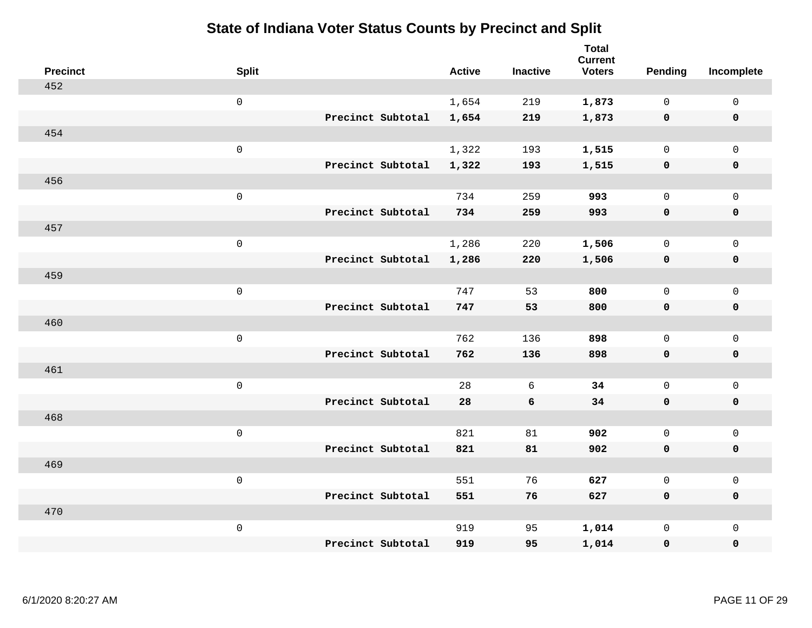| <b>Precinct</b> | <b>Split</b>        |                   | <b>Active</b> | <b>Inactive</b> | <b>Total</b><br><b>Current</b><br><b>Voters</b> | Pending      | Incomplete          |
|-----------------|---------------------|-------------------|---------------|-----------------|-------------------------------------------------|--------------|---------------------|
| 452             |                     |                   |               |                 |                                                 |              |                     |
|                 | $\mathbf 0$         |                   | 1,654         | 219             | 1,873                                           | $\mathbf 0$  | $\mathsf{O}$        |
|                 |                     | Precinct Subtotal | 1,654         | 219             | 1,873                                           | $\mathbf 0$  | $\mathbf 0$         |
| 454             |                     |                   |               |                 |                                                 |              |                     |
|                 | $\mathsf{O}\xspace$ |                   | 1,322         | 193             | 1,515                                           | $\mathbf 0$  | $\mathsf{O}$        |
|                 |                     | Precinct Subtotal | 1,322         | 193             | 1,515                                           | 0            | 0                   |
| 456             |                     |                   |               |                 |                                                 |              |                     |
|                 | $\mathbf 0$         |                   | 734           | 259             | 993                                             | $\mathbf 0$  | $\mathsf{O}\xspace$ |
|                 |                     | Precinct Subtotal | 734           | 259             | 993                                             | $\mathbf 0$  | 0                   |
| 457             |                     |                   |               |                 |                                                 |              |                     |
|                 | $\mathbf 0$         |                   | 1,286         | 220             | 1,506                                           | $\mathbf 0$  | $\mathsf{O}\xspace$ |
|                 |                     | Precinct Subtotal | 1,286         | 220             | 1,506                                           | 0            | 0                   |
| 459             |                     |                   |               |                 |                                                 |              |                     |
|                 | $\mathbf 0$         |                   | 747           | 53              | 800                                             | $\mathbf{0}$ | $\mathbf 0$         |
|                 |                     | Precinct Subtotal | 747           | 53              | 800                                             | 0            | 0                   |
| 460             |                     |                   |               |                 |                                                 |              |                     |
|                 | $\mathbf 0$         |                   | 762           | 136             | 898                                             | $\mathsf{O}$ | $\mathsf{O}$        |
|                 |                     | Precinct Subtotal | 762           | 136             | 898                                             | 0            | 0                   |
| 461             |                     |                   |               |                 |                                                 |              |                     |
|                 | $\mathbf 0$         |                   | 28            | 6               | 34                                              | $\mathsf{O}$ | $\mathsf{O}$        |
|                 |                     | Precinct Subtotal | 28            | 6               | 34                                              | 0            | 0                   |
| 468             |                     |                   |               |                 |                                                 |              |                     |
|                 | $\mathbf 0$         |                   | 821           | 81              | 902                                             | $\mathbf 0$  | $\mathsf{O}\xspace$ |
|                 |                     | Precinct Subtotal | 821           | 81              | 902                                             | 0            | 0                   |
| 469             |                     |                   |               |                 |                                                 |              |                     |
|                 | $\mathbf 0$         |                   | 551           | 76              | 627                                             | $\mathbf 0$  | $\mathsf{O}\xspace$ |
|                 |                     | Precinct Subtotal | 551           | 76              | 627                                             | 0            | 0                   |
| 470             |                     |                   |               |                 |                                                 |              |                     |
|                 | $\mathbf 0$         |                   | 919           | 95              | 1,014                                           | $\mathsf{O}$ | $\mathsf{O}$        |
|                 |                     | Precinct Subtotal | 919           | 95              | 1,014                                           | 0            | 0                   |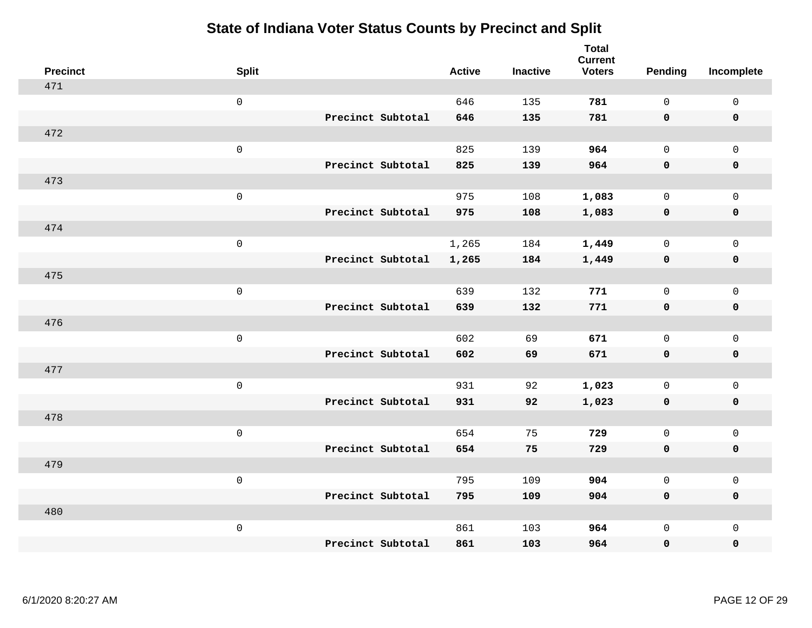| <b>Precinct</b> | <b>Split</b>        |                   | <b>Active</b> | <b>Inactive</b> | <b>Total</b><br><b>Current</b><br><b>Voters</b> | <b>Pending</b> | Incomplete          |
|-----------------|---------------------|-------------------|---------------|-----------------|-------------------------------------------------|----------------|---------------------|
| 471             |                     |                   |               |                 |                                                 |                |                     |
|                 | $\mathsf{O}\xspace$ |                   | 646           | 135             | 781                                             | $\mathbf 0$    | $\mathsf 0$         |
|                 |                     | Precinct Subtotal | 646           | 135             | 781                                             | $\mathbf 0$    | $\mathbf 0$         |
| 472             |                     |                   |               |                 |                                                 |                |                     |
|                 | $\mathsf 0$         |                   | 825           | 139             | 964                                             | $\mathbf 0$    | $\mathbf 0$         |
|                 |                     | Precinct Subtotal | 825           | 139             | 964                                             | $\mathbf 0$    | $\pmb{0}$           |
| 473             |                     |                   |               |                 |                                                 |                |                     |
|                 | $\mathsf 0$         |                   | 975           | 108             | 1,083                                           | $\mathbf 0$    | $\mathsf{O}\xspace$ |
|                 |                     | Precinct Subtotal | 975           | 108             | 1,083                                           | $\mathbf 0$    | $\mathbf 0$         |
| 474             |                     |                   |               |                 |                                                 |                |                     |
|                 | $\mathbf 0$         |                   | 1,265         | 184             | 1,449                                           | $\mathbf 0$    | $\mathbf 0$         |
|                 |                     | Precinct Subtotal | 1,265         | 184             | 1,449                                           | $\mathbf 0$    | $\mathbf 0$         |
| 475             |                     |                   |               |                 |                                                 |                |                     |
|                 | $\mathsf 0$         |                   | 639           | 132             | 771                                             | $\mathbf 0$    | $\mathbf{0}$        |
|                 |                     | Precinct Subtotal | 639           | 132             | 771                                             | $\mathbf 0$    | $\mathbf 0$         |
| 476             |                     |                   |               |                 |                                                 |                |                     |
|                 | $\mathbf 0$         |                   | 602           | 69              | 671                                             | $\mathsf{O}$   | $\mathsf{O}\xspace$ |
|                 |                     | Precinct Subtotal | 602           | 69              | 671                                             | $\mathbf 0$    | $\mathbf 0$         |
| 477             |                     |                   |               |                 |                                                 |                |                     |
|                 | $\mathbf 0$         |                   | 931           | 92              | 1,023                                           | $\mathbf 0$    | $\mathsf{O}\xspace$ |
|                 |                     | Precinct Subtotal | 931           | 92              | 1,023                                           | 0              | $\mathbf 0$         |
| 478             |                     |                   |               |                 |                                                 |                |                     |
|                 | $\mathbf 0$         |                   | 654           | 75              | 729                                             | $\mathbf 0$    | $\mathsf{O}\xspace$ |
|                 |                     | Precinct Subtotal | 654           | 75              | 729                                             | $\mathbf 0$    | $\mathbf 0$         |
| 479             |                     |                   |               |                 |                                                 |                |                     |
|                 | $\mathsf 0$         |                   | 795           | 109             | 904                                             | $\mathsf{O}$   | $\mathsf 0$         |
|                 |                     | Precinct Subtotal | 795           | 109             | 904                                             | $\mathbf 0$    | $\mathbf 0$         |
| 480             |                     |                   |               |                 |                                                 |                |                     |
|                 | $\mathbf 0$         |                   | 861           | 103             | 964                                             | $\mathsf{O}$   | $\mathbf 0$         |
|                 |                     | Precinct Subtotal | 861           | 103             | 964                                             | 0              | $\pmb{0}$           |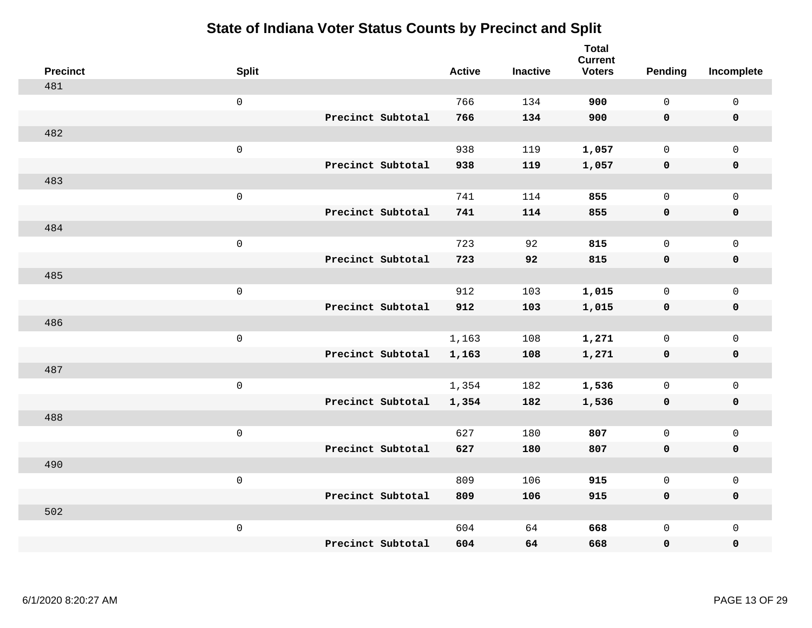| <b>Precinct</b> | <b>Split</b>        |                   | <b>Active</b> | <b>Inactive</b> | <b>Total</b><br><b>Current</b><br><b>Voters</b> | <b>Pending</b> | Incomplete          |
|-----------------|---------------------|-------------------|---------------|-----------------|-------------------------------------------------|----------------|---------------------|
| 481             |                     |                   |               |                 |                                                 |                |                     |
|                 | $\mathsf{O}\xspace$ |                   | 766           | 134             | 900                                             | $\mathsf{O}$   | $\mathsf{O}\xspace$ |
|                 |                     | Precinct Subtotal | 766           | 134             | 900                                             | $\mathbf 0$    | $\mathbf 0$         |
| 482             |                     |                   |               |                 |                                                 |                |                     |
|                 | $\mathsf{O}\xspace$ |                   | 938           | 119             | 1,057                                           | $\mathbf 0$    | $\mathsf{O}$        |
|                 |                     | Precinct Subtotal | 938           | 119             | 1,057                                           | $\mathbf 0$    | 0                   |
| 483             |                     |                   |               |                 |                                                 |                |                     |
|                 | $\mathsf 0$         |                   | 741           | 114             | 855                                             | $\mathbf 0$    | $\mathsf{O}\xspace$ |
|                 |                     | Precinct Subtotal | 741           | 114             | 855                                             | 0              | $\pmb{0}$           |
| 484             |                     |                   |               |                 |                                                 |                |                     |
|                 | $\mathsf 0$         |                   | 723           | 92              | 815                                             | $\mathbf 0$    | $\mathsf{O}$        |
|                 |                     | Precinct Subtotal | 723           | 92              | 815                                             | 0              | 0                   |
| 485             |                     |                   |               |                 |                                                 |                |                     |
|                 | $\mathsf{O}\xspace$ |                   | 912           | 103             | 1,015                                           | $\mathbf 0$    | $\mathsf{O}\xspace$ |
|                 |                     | Precinct Subtotal | 912           | 103             | 1,015                                           | 0              | 0                   |
| 486             |                     |                   |               |                 |                                                 |                |                     |
|                 | $\mathsf 0$         |                   | 1,163         | 108             | 1,271                                           | $\mathbf 0$    | $\mathsf{O}$        |
|                 |                     | Precinct Subtotal | 1,163         | 108             | 1,271                                           | $\mathbf 0$    | 0                   |
| 487             |                     |                   |               |                 |                                                 |                |                     |
|                 | $\mathsf 0$         |                   | 1,354         | 182             | 1,536                                           | $\mathsf{O}$   | $\mathsf{O}$        |
|                 |                     | Precinct Subtotal | 1,354         | 182             | 1,536                                           | 0              | 0                   |
| 488             |                     |                   |               |                 |                                                 |                |                     |
|                 | $\mathsf 0$         |                   | 627           | 180             | 807                                             | $\mathsf{O}$   | $\mathsf{O}$        |
|                 |                     | Precinct Subtotal | 627           | 180             | 807                                             | 0              | 0                   |
| 490             |                     |                   |               |                 |                                                 |                |                     |
|                 | $\mathsf 0$         |                   | 809           | 106             | 915                                             | $\mathbf 0$    | $\mathsf{O}$        |
|                 |                     | Precinct Subtotal | 809           | 106             | 915                                             | 0              | 0                   |
| 502             |                     |                   |               |                 |                                                 |                |                     |
|                 | $\mathsf 0$         |                   | 604           | 64              | 668                                             | $\mathsf{O}$   | $\mathsf{O}$        |
|                 |                     | Precinct Subtotal | 604           | 64              | 668                                             | 0              | 0                   |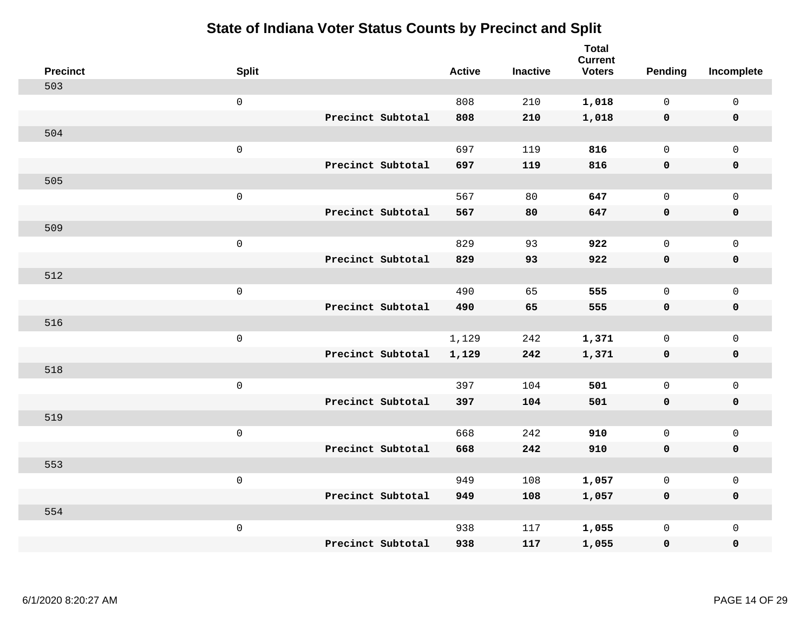| <b>Precinct</b> | <b>Split</b>        |                   | <b>Active</b> | <b>Inactive</b> | <b>Total</b><br><b>Current</b><br><b>Voters</b> | <b>Pending</b> | Incomplete  |
|-----------------|---------------------|-------------------|---------------|-----------------|-------------------------------------------------|----------------|-------------|
| 503             |                     |                   |               |                 |                                                 |                |             |
|                 | $\mathsf{O}\xspace$ |                   | 808           | 210             | 1,018                                           | $\mathbf 0$    | $\mathsf 0$ |
|                 |                     | Precinct Subtotal | 808           | 210             | 1,018                                           | $\mathbf 0$    | $\mathbf 0$ |
| 504             |                     |                   |               |                 |                                                 |                |             |
|                 | $\mathsf 0$         |                   | 697           | 119             | 816                                             | $\mathbf 0$    | $\mathbf 0$ |
|                 |                     | Precinct Subtotal | 697           | 119             | 816                                             | $\mathbf 0$    | $\mathbf 0$ |
| 505             |                     |                   |               |                 |                                                 |                |             |
|                 | $\mathsf 0$         |                   | 567           | 80              | 647                                             | $\mathbf 0$    | $\mathsf 0$ |
|                 |                     | Precinct Subtotal | 567           | 80              | 647                                             | $\mathbf 0$    | $\mathbf 0$ |
| 509             |                     |                   |               |                 |                                                 |                |             |
|                 | $\mathbf 0$         |                   | 829           | 93              | 922                                             | $\mathbf 0$    | $\mathsf 0$ |
|                 |                     | Precinct Subtotal | 829           | 93              | 922                                             | $\mathbf 0$    | $\mathbf 0$ |
| 512             |                     |                   |               |                 |                                                 |                |             |
|                 | $\mathbf 0$         |                   | 490           | 65              | 555                                             | $\mathbf 0$    | $\mathsf 0$ |
|                 |                     | Precinct Subtotal | 490           | 65              | 555                                             | $\mathbf 0$    | $\mathbf 0$ |
| 516             |                     |                   |               |                 |                                                 |                |             |
|                 | $\mathbf 0$         |                   | 1,129         | 242             | 1,371                                           | $\mathbf 0$    | $\mathsf 0$ |
|                 |                     | Precinct Subtotal | 1,129         | 242             | 1,371                                           | $\mathbf 0$    | $\mathbf 0$ |
| 518             |                     |                   |               |                 |                                                 |                |             |
|                 | $\mathbf 0$         |                   | 397           | 104             | 501                                             | $\mathbf 0$    | $\mathbf 0$ |
|                 |                     | Precinct Subtotal | 397           | 104             | 501                                             | $\mathbf 0$    | $\mathbf 0$ |
| 519             |                     |                   |               |                 |                                                 |                |             |
|                 | $\mathbf 0$         |                   | 668           | 242             | 910                                             | $\mathsf{O}$   | $\mathsf 0$ |
|                 |                     | Precinct Subtotal | 668           | 242             | 910                                             | $\mathbf 0$    | 0           |
| 553             |                     |                   |               |                 |                                                 |                |             |
|                 | $\mathbf 0$         |                   | 949           | 108             | 1,057                                           | $\mathsf{O}$   | $\mathsf 0$ |
|                 |                     | Precinct Subtotal | 949           | 108             | 1,057                                           | 0              | 0           |
| 554             |                     |                   |               |                 |                                                 |                |             |
|                 | $\mathbf 0$         |                   | 938           | 117             | 1,055                                           | $\mathsf{O}$   | $\mathbf 0$ |
|                 |                     | Precinct Subtotal | 938           | 117             | 1,055                                           | 0              | $\pmb{0}$   |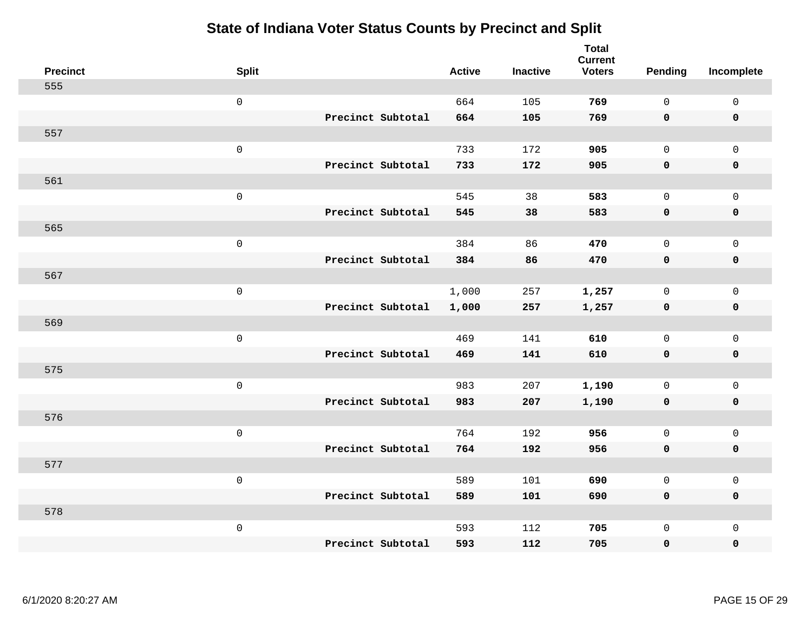| <b>Precinct</b> | <b>Split</b>        |                   | <b>Active</b> | <b>Inactive</b> | <b>Total</b><br><b>Current</b><br><b>Voters</b> | Pending      | Incomplete          |
|-----------------|---------------------|-------------------|---------------|-----------------|-------------------------------------------------|--------------|---------------------|
| 555             |                     |                   |               |                 |                                                 |              |                     |
|                 | $\mathsf 0$         |                   | 664           | 105             | 769                                             | $\mathbf{0}$ | $\mathsf 0$         |
|                 |                     | Precinct Subtotal | 664           | 105             | 769                                             | $\mathbf 0$  | $\mathbf 0$         |
| 557             |                     |                   |               |                 |                                                 |              |                     |
|                 | $\mathsf 0$         |                   | 733           | 172             | 905                                             | $\mathbf{0}$ | $\mathsf{O}$        |
|                 |                     | Precinct Subtotal | 733           | 172             | 905                                             | $\mathbf 0$  | 0                   |
| 561             |                     |                   |               |                 |                                                 |              |                     |
|                 | $\mathsf 0$         |                   | 545           | 38              | 583                                             | $\mathbf 0$  | $\mathsf{O}$        |
|                 |                     | Precinct Subtotal | 545           | 38              | 583                                             | 0            | 0                   |
| 565             |                     |                   |               |                 |                                                 |              |                     |
|                 | $\mathsf 0$         |                   | 384           | 86              | 470                                             | $\mathbf{0}$ | $\mathsf{O}\xspace$ |
|                 |                     | Precinct Subtotal | 384           | 86              | 470                                             | $\mathbf 0$  | $\pmb{0}$           |
| 567             |                     |                   |               |                 |                                                 |              |                     |
|                 | $\mathsf 0$         |                   | 1,000         | 257             | 1,257                                           | $\mathbf 0$  | $\mathbf 0$         |
|                 |                     | Precinct Subtotal | 1,000         | 257             | 1,257                                           | 0            | $\pmb{0}$           |
| 569             |                     |                   |               |                 |                                                 |              |                     |
|                 | $\mathbf 0$         |                   | 469           | 141             | 610                                             | $\mathsf{O}$ | $\mathsf{O}$        |
|                 |                     | Precinct Subtotal | 469           | 141             | 610                                             | 0            | 0                   |
| 575             |                     |                   |               |                 |                                                 |              |                     |
|                 | $\mathbf 0$         |                   | 983           | 207             | 1,190                                           | $\mathbf 0$  | $\mathsf{O}\xspace$ |
|                 |                     | Precinct Subtotal | 983           | 207             | 1,190                                           | 0            | 0                   |
| 576             |                     |                   |               |                 |                                                 |              |                     |
|                 | $\mathsf{O}\xspace$ |                   | 764           | 192             | 956                                             | $\mathbf 0$  | $\mathsf{O}$        |
|                 |                     | Precinct Subtotal | 764           | 192             | 956                                             | 0            | 0                   |
| 577             |                     |                   |               |                 |                                                 |              |                     |
|                 | $\mathbf 0$         |                   | 589           | 101             | 690                                             | $\mathbf 0$  | $\mathsf{O}\xspace$ |
|                 |                     | Precinct Subtotal | 589           | 101             | 690                                             | 0            | 0                   |
| 578             |                     |                   |               |                 |                                                 |              |                     |
|                 | $\mathbf 0$         |                   | 593           | 112             | 705                                             | $\mathsf{O}$ | $\mathsf{O}$        |
|                 |                     | Precinct Subtotal | 593           | 112             | 705                                             | 0            | 0                   |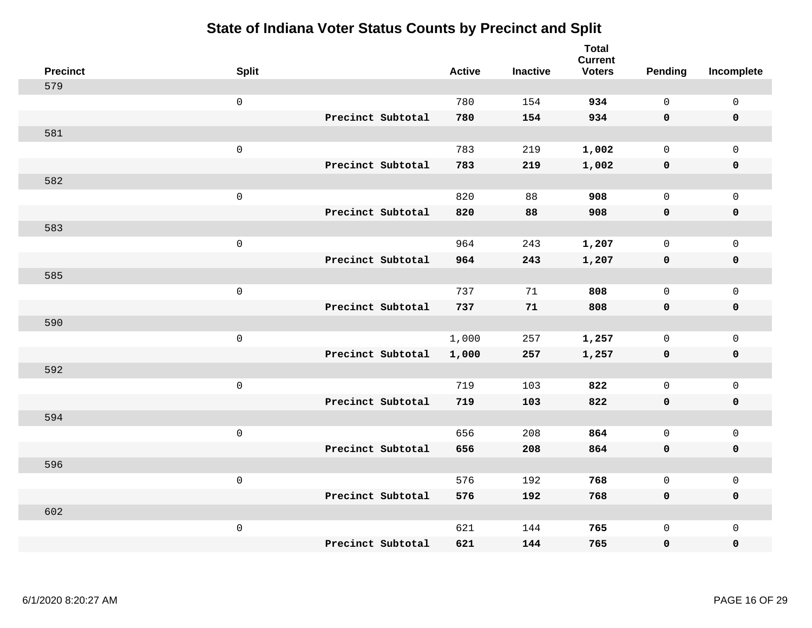| <b>Precinct</b> | <b>Split</b>        | <b>Active</b>              | <b>Inactive</b> | <b>Total</b><br><b>Current</b><br><b>Voters</b> | Pending      | Incomplete          |
|-----------------|---------------------|----------------------------|-----------------|-------------------------------------------------|--------------|---------------------|
| 579             |                     |                            |                 |                                                 |              |                     |
|                 | $\mathsf{O}\xspace$ | 780                        | 154             | 934                                             | $\mathbf 0$  | $\mathsf{O}\xspace$ |
|                 |                     | Precinct Subtotal<br>780   | 154             | 934                                             | $\mathbf 0$  | $\mathbf 0$         |
| 581             |                     |                            |                 |                                                 |              |                     |
|                 | $\mathsf{O}\xspace$ | 783                        | 219             | 1,002                                           | $\mathbf 0$  | $\mathsf{O}$        |
|                 |                     | Precinct Subtotal<br>783   | 219             | 1,002                                           | 0            | 0                   |
| 582             |                     |                            |                 |                                                 |              |                     |
|                 | $\mathsf 0$         | 820                        | 88              | 908                                             | $\mathbf{0}$ | $\mathsf{O}$        |
|                 |                     | Precinct Subtotal<br>820   | 88              | 908                                             | 0            | 0                   |
| 583             |                     |                            |                 |                                                 |              |                     |
|                 | $\mathsf{O}\xspace$ | 964                        | 243             | 1,207                                           | $\mathbf{0}$ | $\mathsf{O}$        |
|                 |                     | Precinct Subtotal<br>964   | 243             | 1,207                                           | $\mathbf 0$  | $\pmb{0}$           |
| 585             |                     |                            |                 |                                                 |              |                     |
|                 | $\mathsf 0$         | 737                        | 71              | 808                                             | $\mathbf{0}$ | $\mathbf 0$         |
|                 |                     | Precinct Subtotal<br>737   | 71              | 808                                             | 0            | $\mathbf 0$         |
| 590             |                     |                            |                 |                                                 |              |                     |
|                 | $\mathsf{O}\xspace$ | 1,000                      | 257             | 1,257                                           | $\mathsf{O}$ | $\mathsf{O}$        |
|                 |                     | Precinct Subtotal<br>1,000 | 257             | 1,257                                           | 0            | 0                   |
| 592             |                     |                            |                 |                                                 |              |                     |
|                 | $\mathsf{O}\xspace$ | 719                        | 103             | 822                                             | $\mathbf{0}$ | $\mathsf{O}\xspace$ |
|                 |                     | Precinct Subtotal<br>719   | 103             | 822                                             | 0            | 0                   |
| 594             |                     |                            |                 |                                                 |              |                     |
|                 | $\mathsf 0$         | 656                        | 208             | 864                                             | $\mathbf 0$  | $\mathsf{O}$        |
|                 |                     | Precinct Subtotal<br>656   | 208             | 864                                             | 0            | 0                   |
| 596             |                     |                            |                 |                                                 |              |                     |
|                 | $\mathsf 0$         | 576                        | 192             | 768                                             | 0            | $\mathsf{O}$        |
|                 |                     | Precinct Subtotal<br>576   | 192             | 768                                             | $\mathbf 0$  | 0                   |
| 602             |                     |                            |                 |                                                 |              |                     |
|                 | $\mathsf 0$         | 621                        | 144             | 765                                             | $\mathsf{O}$ | $\mathsf{O}$        |
|                 |                     | Precinct Subtotal<br>621   | 144             | 765                                             | 0            | 0                   |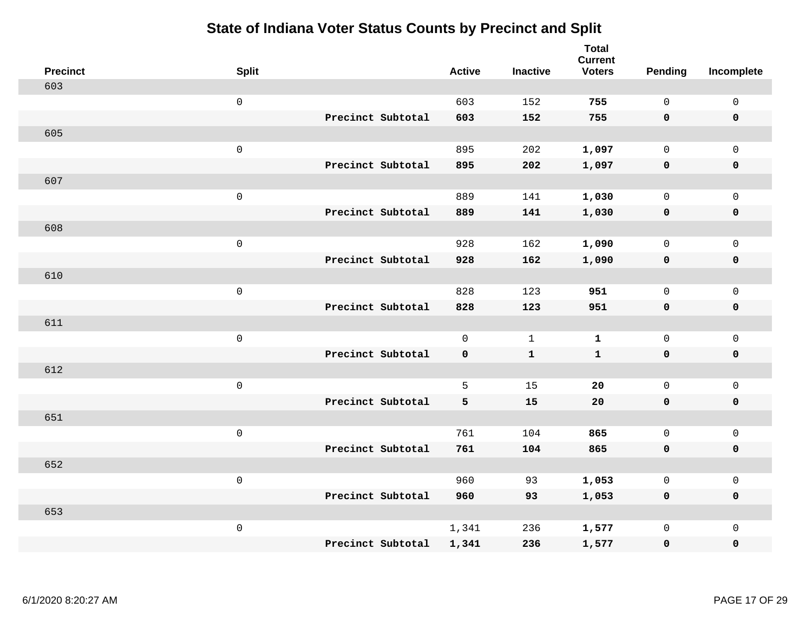| <b>Precinct</b> | <b>Split</b>        |                   | <b>Active</b> | <b>Inactive</b> | <b>Total</b><br><b>Current</b><br><b>Voters</b> | <b>Pending</b> | Incomplete  |
|-----------------|---------------------|-------------------|---------------|-----------------|-------------------------------------------------|----------------|-------------|
| 603             |                     |                   |               |                 |                                                 |                |             |
|                 | $\mathsf{O}\xspace$ |                   | 603           | 152             | 755                                             | $\mathbf 0$    | $\mathsf 0$ |
|                 |                     | Precinct Subtotal | 603           | 152             | 755                                             | $\mathbf 0$    | $\mathbf 0$ |
| 605             |                     |                   |               |                 |                                                 |                |             |
|                 | $\mathsf 0$         |                   | 895           | 202             | 1,097                                           | $\mathsf{O}$   | $\mathbf 0$ |
|                 |                     | Precinct Subtotal | 895           | 202             | 1,097                                           | $\mathbf 0$    | $\mathbf 0$ |
| 607             |                     |                   |               |                 |                                                 |                |             |
|                 | $\mathsf 0$         |                   | 889           | 141             | 1,030                                           | $\mathbf 0$    | $\mathsf 0$ |
|                 |                     | Precinct Subtotal | 889           | 141             | 1,030                                           | $\mathbf 0$    | $\mathbf 0$ |
| 608             |                     |                   |               |                 |                                                 |                |             |
|                 | $\mathbf 0$         |                   | 928           | 162             | 1,090                                           | $\mathbf 0$    | $\mathsf 0$ |
|                 |                     | Precinct Subtotal | 928           | 162             | 1,090                                           | $\mathbf 0$    | $\mathbf 0$ |
| 610             |                     |                   |               |                 |                                                 |                |             |
|                 | $\mathsf 0$         |                   | 828           | 123             | 951                                             | $\mathbf 0$    | $\mathbf 0$ |
|                 |                     | Precinct Subtotal | 828           | 123             | 951                                             | $\mathbf 0$    | $\mathbf 0$ |
| 611             |                     |                   |               |                 |                                                 |                |             |
|                 | $\mathbf 0$         |                   | $\mathbf 0$   | $\mathbf{1}$    | $\mathbf 1$                                     | $\mathsf{O}$   | $\mathsf 0$ |
|                 |                     | Precinct Subtotal | 0             | $\mathbf{1}$    | $\mathbf{1}$                                    | $\mathbf 0$    | $\mathbf 0$ |
| 612             |                     |                   |               |                 |                                                 |                |             |
|                 | $\mathbf 0$         |                   | 5             | 15              | 20                                              | $\mathbf 0$    | $\mathsf 0$ |
|                 |                     | Precinct Subtotal | 5             | 15              | ${\bf 20}$                                      | $\mathbf 0$    | $\mathbf 0$ |
| 651             |                     |                   |               |                 |                                                 |                |             |
|                 | $\mathbf 0$         |                   | 761           | 104             | 865                                             | $\mathbf 0$    | $\mathsf 0$ |
|                 |                     | Precinct Subtotal | 761           | 104             | 865                                             | $\mathbf 0$    | $\mathbf 0$ |
| 652             |                     |                   |               |                 |                                                 |                |             |
|                 | $\mathsf 0$         |                   | 960           | 93              | 1,053                                           | 0              | $\mathsf 0$ |
|                 |                     | Precinct Subtotal | 960           | 93              | 1,053                                           | $\mathbf 0$    | $\mathbf 0$ |
| 653             |                     |                   |               |                 |                                                 |                |             |
|                 | $\mathbf 0$         |                   | 1,341         | 236             | 1,577                                           | $\mathsf{O}$   | $\mathbf 0$ |
|                 |                     | Precinct Subtotal | 1,341         | 236             | 1,577                                           | 0              | $\pmb{0}$   |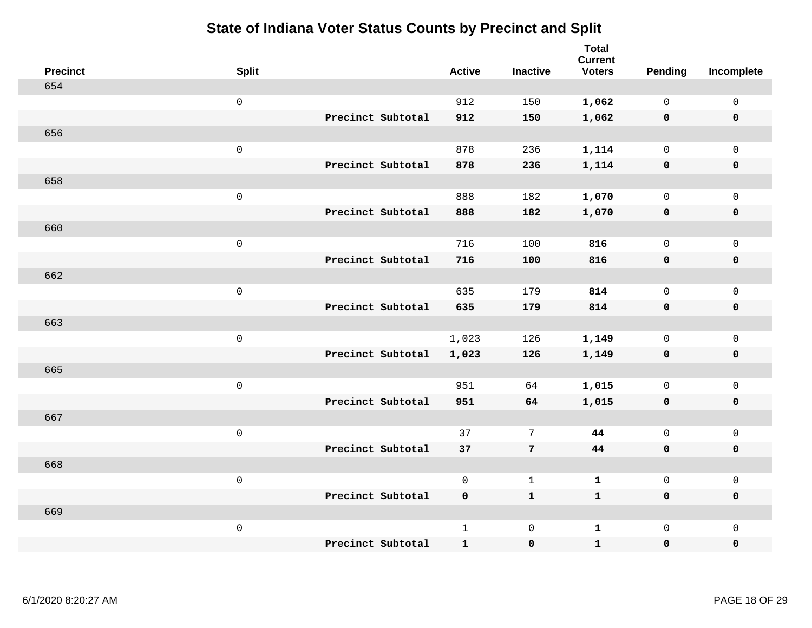| <b>Precinct</b> | <b>Split</b>        |                   | <b>Active</b> | <b>Inactive</b> | <b>Total</b><br><b>Current</b><br><b>Voters</b> | Pending      | Incomplete          |
|-----------------|---------------------|-------------------|---------------|-----------------|-------------------------------------------------|--------------|---------------------|
| 654             |                     |                   |               |                 |                                                 |              |                     |
|                 | $\mathsf 0$         |                   | 912           | 150             | 1,062                                           | $\mathbf 0$  | $\mathsf{O}\xspace$ |
|                 |                     | Precinct Subtotal | 912           | 150             | 1,062                                           | $\mathbf 0$  | $\pmb{0}$           |
| 656             |                     |                   |               |                 |                                                 |              |                     |
|                 | $\mathsf 0$         |                   | 878           | 236             | 1,114                                           | $\mathbf 0$  | $\mathsf{O}\xspace$ |
|                 |                     | Precinct Subtotal | 878           | 236             | 1,114                                           | $\mathbf 0$  | $\pmb{0}$           |
| 658             |                     |                   |               |                 |                                                 |              |                     |
|                 | $\mathsf 0$         |                   | 888           | 182             | 1,070                                           | $\mathsf{O}$ | $\mathsf{O}$        |
|                 |                     | Precinct Subtotal | 888           | 182             | 1,070                                           | 0            | 0                   |
| 660             |                     |                   |               |                 |                                                 |              |                     |
|                 | $\mathbf 0$         |                   | 716           | 100             | 816                                             | $\mathbf 0$  | $\mathsf{O}\xspace$ |
|                 |                     | Precinct Subtotal | 716           | 100             | 816                                             | $\mathbf 0$  | 0                   |
| 662             |                     |                   |               |                 |                                                 |              |                     |
|                 | $\mathbf 0$         |                   | 635           | 179             | 814                                             | $\mathbf 0$  | $\mathsf{O}\xspace$ |
|                 |                     | Precinct Subtotal | 635           | 179             | 814                                             | $\mathbf 0$  | 0                   |
| 663             |                     |                   |               |                 |                                                 |              |                     |
|                 | $\mathsf{O}\xspace$ |                   | 1,023         | 126             | 1,149                                           | $\mathbf 0$  | $\mathsf{O}\xspace$ |
|                 |                     | Precinct Subtotal | 1,023         | 126             | 1,149                                           | $\mathbf 0$  | 0                   |
| 665             |                     |                   |               |                 |                                                 |              |                     |
|                 | $\mathbf 0$         |                   | 951           | 64              | 1,015                                           | $\mathbf 0$  | $\mathsf{O}$        |
|                 |                     | Precinct Subtotal | 951           | 64              | 1,015                                           | $\mathbf 0$  | 0                   |
| 667             |                     |                   |               |                 |                                                 |              |                     |
|                 | $\mathsf{O}\xspace$ |                   | 37            | $7\phantom{.0}$ | 44                                              | $\mathbf 0$  | $\mathsf{O}\xspace$ |
|                 |                     | Precinct Subtotal | 37            | $7\phantom{.0}$ | 44                                              | 0            | 0                   |
| 668             |                     |                   |               |                 |                                                 |              |                     |
|                 | $\mathsf 0$         |                   | $\mathsf{O}$  | $\mathbf{1}$    | $\mathbf{1}$                                    | $\mathbf 0$  | $\mathsf 0$         |
|                 |                     | Precinct Subtotal | 0             | $\mathbf{1}$    | $\mathbf{1}$                                    | 0            | 0                   |
| 669             |                     |                   |               |                 |                                                 |              |                     |
|                 | $\mathbf 0$         |                   | $\mathbf{1}$  | $\mathbf 0$     | $\mathbf{1}$                                    | $\mathsf{O}$ | $\mathsf{O}$        |
|                 |                     | Precinct Subtotal | $\mathbf{1}$  | $\pmb{0}$       | $\mathbf{1}$                                    | 0            | $\pmb{0}$           |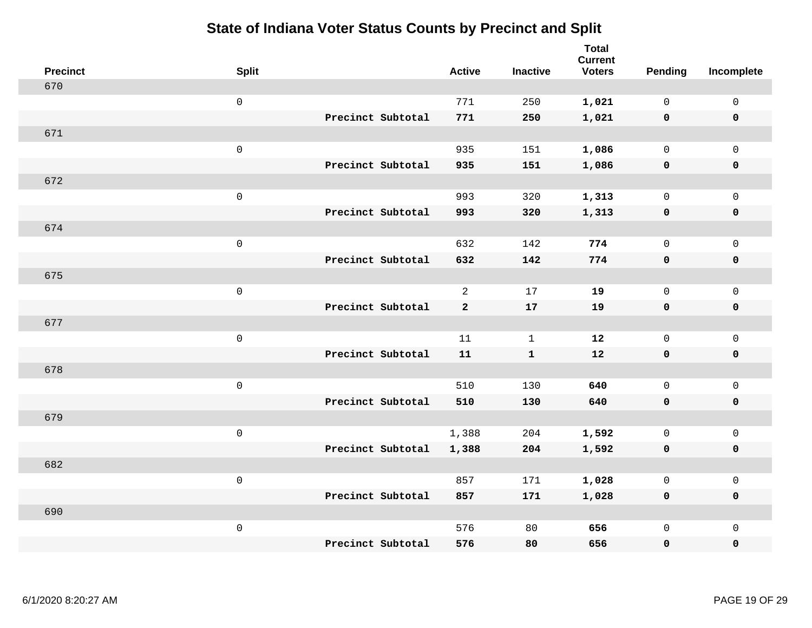| <b>Precinct</b> | <b>Split</b>        |                   | <b>Active</b>  | <b>Inactive</b> | Total<br><b>Current</b><br><b>Voters</b> | <b>Pending</b> | Incomplete   |
|-----------------|---------------------|-------------------|----------------|-----------------|------------------------------------------|----------------|--------------|
| 670             |                     |                   |                |                 |                                          |                |              |
|                 | $\mathbf 0$         |                   | 771            | 250             | 1,021                                    | $\mathbf 0$    | $\mathsf{O}$ |
|                 |                     | Precinct Subtotal | 771            | 250             | 1,021                                    | $\mathbf 0$    | $\mathbf 0$  |
| 671             |                     |                   |                |                 |                                          |                |              |
|                 | $\mathsf{O}\xspace$ |                   | 935            | 151             | 1,086                                    | $\mathsf{O}$   | $\mathbf 0$  |
|                 |                     | Precinct Subtotal | 935            | 151             | 1,086                                    | $\mathbf 0$    | $\mathbf 0$  |
| 672             |                     |                   |                |                 |                                          |                |              |
|                 | $\mathsf{O}\xspace$ |                   | 993            | 320             | 1,313                                    | $\mathbf 0$    | $\mathbf 0$  |
|                 |                     | Precinct Subtotal | 993            | 320             | 1,313                                    | $\mathbf 0$    | $\mathbf 0$  |
| 674             |                     |                   |                |                 |                                          |                |              |
|                 | $\mathsf{O}\xspace$ |                   | 632            | 142             | 774                                      | $\mathbf 0$    | $\mathbf 0$  |
|                 |                     | Precinct Subtotal | 632            | 142             | 774                                      | 0              | $\mathbf 0$  |
| 675             |                     |                   |                |                 |                                          |                |              |
|                 | $\mathsf 0$         |                   | $\overline{2}$ | 17              | 19                                       | $\mathbf 0$    | $\mathbf 0$  |
|                 |                     | Precinct Subtotal | $\overline{a}$ | 17              | 19                                       | 0              | $\mathbf 0$  |
| 677             |                     |                   |                |                 |                                          |                |              |
|                 | $\mathsf 0$         |                   | 11             | $\mathbf{1}$    | 12                                       | $\mathsf{O}$   | $\mathsf{O}$ |
|                 |                     | Precinct Subtotal | 11             | $\mathbf{1}$    | 12                                       | 0              | $\mathbf 0$  |
| 678             |                     |                   |                |                 |                                          |                |              |
|                 | $\mathsf{O}\xspace$ |                   | 510            | 130             | 640                                      | $\mathsf{O}$   | $\mathsf{O}$ |
|                 |                     | Precinct Subtotal | 510            | 130             | 640                                      | $\mathbf 0$    | 0            |
| 679             |                     |                   |                |                 |                                          |                |              |
|                 | $\mathsf{O}\xspace$ |                   | 1,388          | 204             | 1,592                                    | $\mathsf{O}$   | $\mathsf{O}$ |
|                 |                     | Precinct Subtotal | 1,388          | 204             | 1,592                                    | $\mathbf 0$    | $\pmb{0}$    |
| 682             |                     |                   |                |                 |                                          |                |              |
|                 | $\mathsf{O}\xspace$ |                   | 857            | 171             | 1,028                                    | $\mathsf{O}$   | $\mathsf{O}$ |
|                 |                     | Precinct Subtotal | 857            | 171             | 1,028                                    | 0              | $\mathbf 0$  |
| 690             |                     |                   |                |                 |                                          |                |              |
|                 | $\mathsf{O}\xspace$ |                   | 576            | 80              | 656                                      | 0              | $\mathsf{O}$ |
|                 |                     | Precinct Subtotal | 576            | 80              | 656                                      | 0              | $\mathbf 0$  |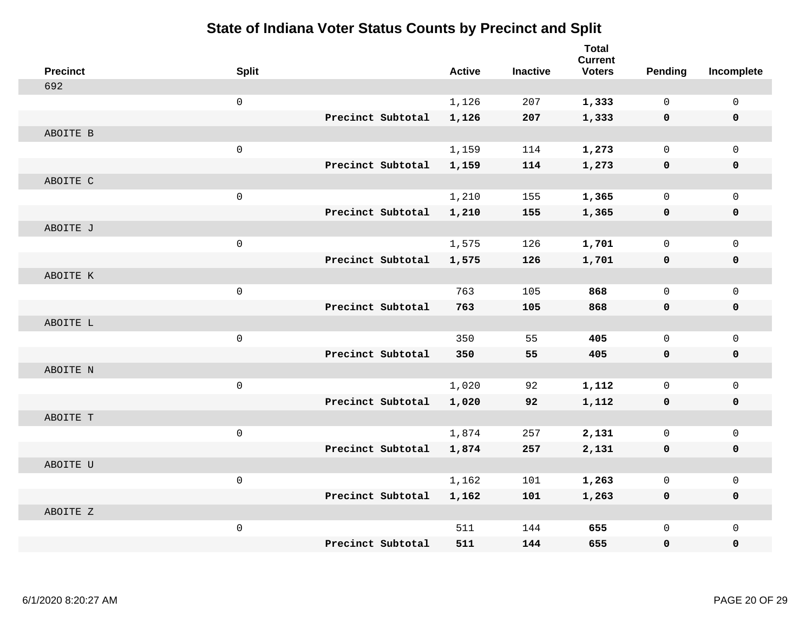| <b>Precinct</b> | <b>Split</b>        |                   | <b>Active</b> | <b>Inactive</b> | <b>Total</b><br><b>Current</b><br><b>Voters</b> | <b>Pending</b> | Incomplete   |
|-----------------|---------------------|-------------------|---------------|-----------------|-------------------------------------------------|----------------|--------------|
| 692             |                     |                   |               |                 |                                                 |                |              |
|                 | $\mathsf 0$         |                   | 1,126         | 207             | 1,333                                           | $\mathbf 0$    | 0            |
|                 |                     | Precinct Subtotal | 1,126         | 207             | 1,333                                           | 0              | $\mathbf 0$  |
| ABOITE B        |                     |                   |               |                 |                                                 |                |              |
|                 | $\mathbf 0$         |                   | 1,159         | 114             | 1,273                                           | $\mathbf 0$    | $\mathbf{0}$ |
|                 |                     | Precinct Subtotal | 1,159         | 114             | 1,273                                           | 0              | $\pmb{0}$    |
| ABOITE C        |                     |                   |               |                 |                                                 |                |              |
|                 | $\mathsf 0$         |                   | 1,210         | 155             | 1,365                                           | $\mathbf 0$    | $\mathsf{O}$ |
|                 |                     | Precinct Subtotal | 1,210         | 155             | 1,365                                           | 0              | 0            |
| ABOITE J        |                     |                   |               |                 |                                                 |                |              |
|                 | $\mathsf{O}\xspace$ |                   | 1,575         | 126             | 1,701                                           | $\mathbf 0$    | $\mathsf{O}$ |
|                 |                     | Precinct Subtotal | 1,575         | 126             | 1,701                                           | 0              | 0            |
| ABOITE K        |                     |                   |               |                 |                                                 |                |              |
|                 | $\mathsf{O}\xspace$ |                   | 763           | 105             | 868                                             | $\mathbf 0$    | $\mathsf{O}$ |
|                 |                     | Precinct Subtotal | 763           | 105             | 868                                             | 0              | 0            |
| ABOITE L        |                     |                   |               |                 |                                                 |                |              |
|                 | $\mathsf{O}$        |                   | 350           | 55              | 405                                             | $\mathbf 0$    | $\mathsf{O}$ |
|                 |                     | Precinct Subtotal | 350           | 55              | 405                                             | $\mathbf 0$    | 0            |
| ABOITE N        |                     |                   |               |                 |                                                 |                |              |
|                 | $\mathsf 0$         |                   | 1,020         | 92              | 1,112                                           | $\mathbf 0$    | $\mathbf 0$  |
|                 |                     | Precinct Subtotal | 1,020         | 92              | 1,112                                           | 0              | 0            |
| ABOITE T        |                     |                   |               |                 |                                                 |                |              |
|                 | $\mathsf{O}\xspace$ |                   | 1,874         | 257             | 2,131                                           | $\mathbf 0$    | $\mathsf{O}$ |
|                 |                     | Precinct Subtotal | 1,874         | 257             | 2,131                                           | $\mathbf 0$    | 0            |
| ABOITE U        |                     |                   |               |                 |                                                 |                |              |
|                 | $\mathsf 0$         |                   | 1,162         | 101             | 1,263                                           | $\mathbf 0$    | $\mathsf{O}$ |
|                 |                     | Precinct Subtotal | 1,162         | 101             | 1,263                                           | 0              | 0            |
| ABOITE Z        |                     |                   |               |                 |                                                 |                |              |
|                 | $\mathsf{O}\xspace$ |                   | 511           | 144             | 655                                             | $\mathbf 0$    | $\mathsf{O}$ |
|                 |                     | Precinct Subtotal | 511           | 144             | 655                                             | 0              | 0            |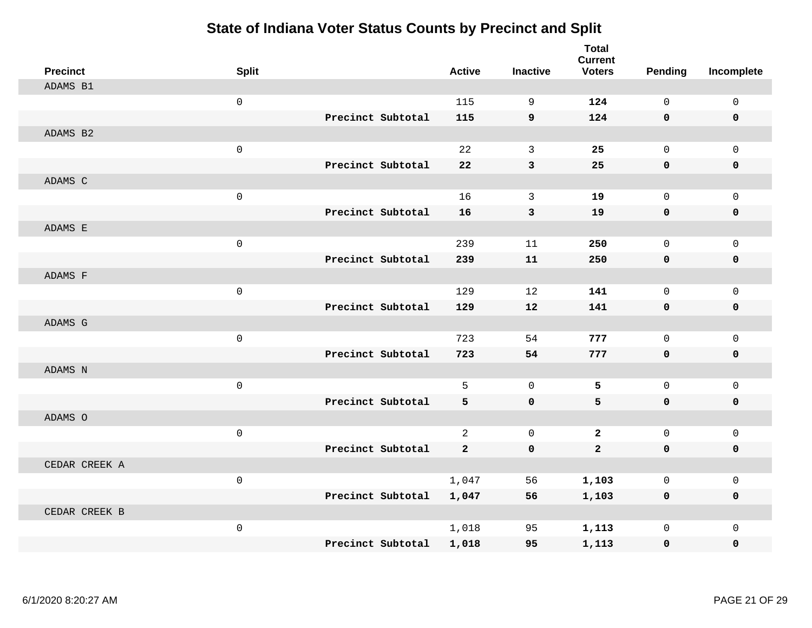| <b>Precinct</b> | <b>Split</b> |                   | <b>Active</b>  | <b>Inactive</b> | <b>Total</b><br><b>Current</b><br><b>Voters</b> | Pending     | Incomplete  |
|-----------------|--------------|-------------------|----------------|-----------------|-------------------------------------------------|-------------|-------------|
| ADAMS B1        |              |                   |                |                 |                                                 |             |             |
|                 | $\mathsf 0$  |                   | 115            | 9               | 124                                             | $\Omega$    | $\mathsf 0$ |
|                 |              | Precinct Subtotal | 115            | 9               | 124                                             | $\mathbf 0$ | $\mathbf 0$ |
| ADAMS B2        |              |                   |                |                 |                                                 |             |             |
|                 | $\mathsf 0$  |                   | 22             | $\mathbf{3}$    | 25                                              | $\mathbf 0$ | $\mathbf 0$ |
|                 |              | Precinct Subtotal | 22             | 3               | 25                                              | $\mathbf 0$ | $\mathbf 0$ |
| ADAMS C         |              |                   |                |                 |                                                 |             |             |
|                 | $\mathbf 0$  |                   | 16             | 3               | 19                                              | $\Omega$    | $\mathbf 0$ |
|                 |              | Precinct Subtotal | 16             | 3               | 19                                              | $\mathbf 0$ | $\mathbf 0$ |
| ADAMS E         |              |                   |                |                 |                                                 |             |             |
|                 | $\mathsf 0$  |                   | 239            | 11              | 250                                             | $\mathbf 0$ | $\mathbf 0$ |
|                 |              | Precinct Subtotal | 239            | 11              | 250                                             | $\mathbf 0$ | $\mathbf 0$ |
| ADAMS F         |              |                   |                |                 |                                                 |             |             |
|                 | $\mathsf 0$  |                   | 129            | 12              | 141                                             | $\mathbf 0$ | $\mathbf 0$ |
|                 |              | Precinct Subtotal | 129            | 12              | 141                                             | $\mathbf 0$ | $\mathbf 0$ |
| ADAMS G         |              |                   |                |                 |                                                 |             |             |
|                 | $\mathsf 0$  |                   | 723            | 54              | 777                                             | $\mathbf 0$ | $\mathbf 0$ |
|                 |              | Precinct Subtotal | 723            | 54              | 777                                             | $\mathbf 0$ | $\mathbf 0$ |
| ADAMS N         |              |                   |                |                 |                                                 |             |             |
|                 | $\mathbf 0$  |                   | 5              | $\mathbf 0$     | 5                                               | $\mathbf 0$ | $\mathsf 0$ |
|                 |              | Precinct Subtotal | 5              | $\mathbf 0$     | 5                                               | $\mathbf 0$ | 0           |
| ADAMS O         |              |                   |                |                 |                                                 |             |             |
|                 | $\mathsf 0$  |                   | $\overline{2}$ | $\mathbf 0$     | $\overline{2}$                                  | $\mathbf 0$ | $\mathbf 0$ |
|                 |              | Precinct Subtotal | $\mathbf{2}$   | $\mathbf 0$     | $\overline{a}$                                  | 0           | 0           |
| CEDAR CREEK A   |              |                   |                |                 |                                                 |             |             |
|                 | $\mathbf{0}$ |                   | 1,047          | 56              | 1,103                                           | $\mathbf 0$ | $\mathbf 0$ |
|                 |              | Precinct Subtotal | 1,047          | 56              | 1,103                                           | 0           | 0           |
| CEDAR CREEK B   |              |                   |                |                 |                                                 |             |             |
|                 | $\mathsf 0$  |                   | 1,018          | 95              | 1,113                                           | $\mathbf 0$ | $\mathsf 0$ |
|                 |              | Precinct Subtotal | 1,018          | 95              | 1,113                                           | $\mathbf 0$ | 0           |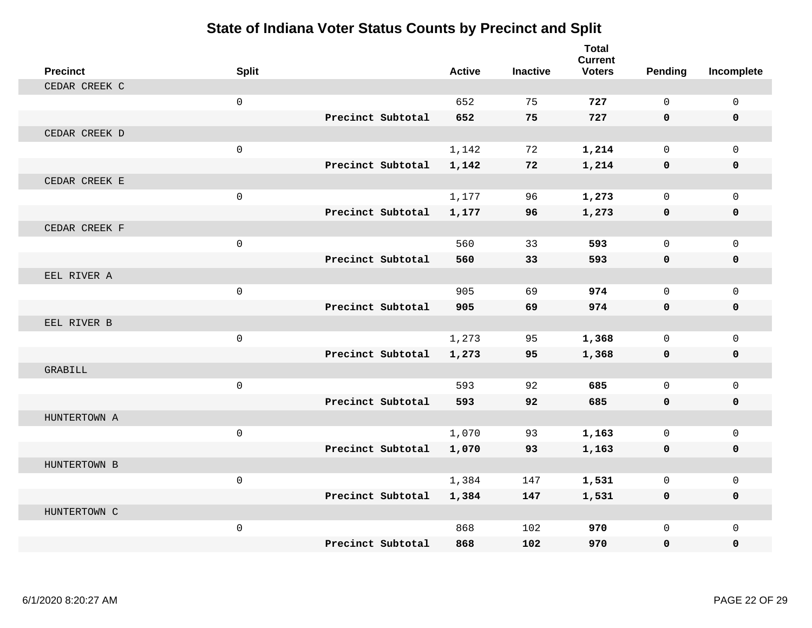| <b>Precinct</b> | <b>Split</b>        |                   | <b>Active</b> | <b>Inactive</b> | <b>Total</b><br><b>Current</b><br><b>Voters</b> | Pending      | Incomplete   |
|-----------------|---------------------|-------------------|---------------|-----------------|-------------------------------------------------|--------------|--------------|
| CEDAR CREEK C   |                     |                   |               |                 |                                                 |              |              |
|                 | $\mathbf 0$         |                   | 652           | 75              | 727                                             | $\Omega$     | $\mathsf{O}$ |
|                 |                     | Precinct Subtotal | 652           | 75              | 727                                             | $\mathbf{0}$ | 0            |
| CEDAR CREEK D   |                     |                   |               |                 |                                                 |              |              |
|                 | $\mathbf 0$         |                   | 1,142         | 72              | 1,214                                           | $\Omega$     | $\Omega$     |
|                 |                     | Precinct Subtotal | 1,142         | 72              | 1,214                                           | 0            | 0            |
| CEDAR CREEK E   |                     |                   |               |                 |                                                 |              |              |
|                 | $\mathbf 0$         |                   | 1,177         | 96              | 1,273                                           | $\Omega$     | $\Omega$     |
|                 |                     | Precinct Subtotal | 1,177         | 96              | 1,273                                           | 0            | 0            |
| CEDAR CREEK F   |                     |                   |               |                 |                                                 |              |              |
|                 | $\mathsf{O}\xspace$ |                   | 560           | 33              | 593                                             | $\mathbf 0$  | $\mathbf{0}$ |
|                 |                     | Precinct Subtotal | 560           | 33              | 593                                             | $\mathbf 0$  | 0            |
| EEL RIVER A     |                     |                   |               |                 |                                                 |              |              |
|                 | $\mathbf{0}$        |                   | 905           | 69              | 974                                             | $\Omega$     | $\mathbf 0$  |
|                 |                     | Precinct Subtotal | 905           | 69              | 974                                             | $\mathbf 0$  | 0            |
| EEL RIVER B     |                     |                   |               |                 |                                                 |              |              |
|                 | $\mathbf 0$         |                   | 1,273         | 95              | 1,368                                           | $\Omega$     | $\mathbf 0$  |
|                 |                     | Precinct Subtotal | 1,273         | 95              | 1,368                                           | $\mathbf 0$  | 0            |
| GRABILL         |                     |                   |               |                 |                                                 |              |              |
|                 | $\mathbf 0$         |                   | 593           | 92              | 685                                             | $\mathbf 0$  | $\mathbf 0$  |
|                 |                     | Precinct Subtotal | 593           | 92              | 685                                             | $\mathbf{0}$ | $\mathbf 0$  |
| HUNTERTOWN A    |                     |                   |               |                 |                                                 |              |              |
|                 | $\mathbf 0$         |                   | 1,070         | 93              | 1,163                                           | $\mathbf 0$  | $\mathbf 0$  |
|                 |                     | Precinct Subtotal | 1,070         | 93              | 1,163                                           | 0            | 0            |
| HUNTERTOWN B    |                     |                   |               |                 |                                                 |              |              |
|                 | $\mathbf{0}$        |                   | 1,384         | 147             | 1,531                                           | $\mathbf 0$  | $\mathbf 0$  |
|                 |                     | Precinct Subtotal | 1,384         | 147             | 1,531                                           | $\mathbf 0$  | $\mathbf 0$  |
| HUNTERTOWN C    |                     |                   |               |                 |                                                 |              |              |
|                 | $\mathbf 0$         |                   | 868           | 102             | 970                                             | $\mathbf 0$  | $\mathbf 0$  |
|                 |                     | Precinct Subtotal | 868           | 102             | 970                                             | 0            | $\mathbf{0}$ |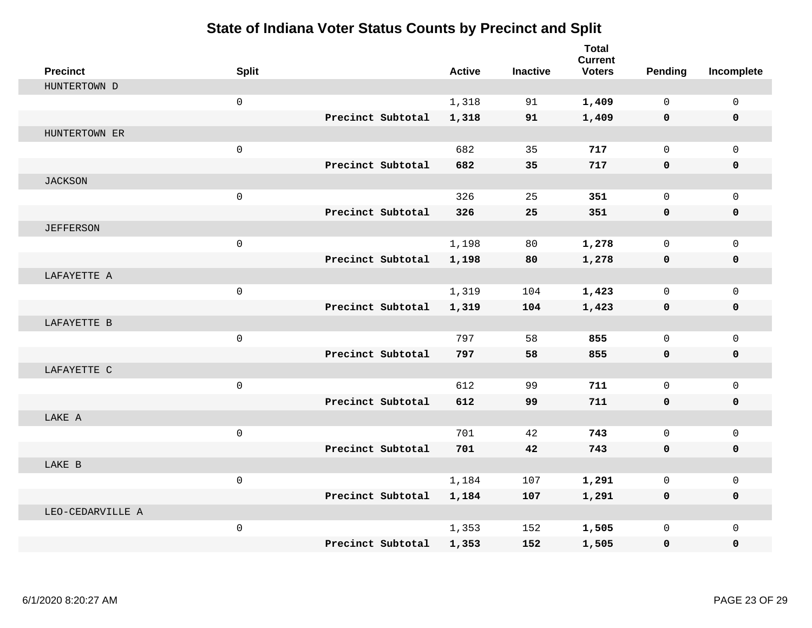| <b>Precinct</b>  | <b>Split</b>        |                   | <b>Active</b> | <b>Inactive</b> | <b>Total</b><br><b>Current</b><br><b>Voters</b> | Pending     | Incomplete   |
|------------------|---------------------|-------------------|---------------|-----------------|-------------------------------------------------|-------------|--------------|
| HUNTERTOWN D     |                     |                   |               |                 |                                                 |             |              |
|                  | $\mathbf 0$         |                   | 1,318         | 91              | 1,409                                           | $\Omega$    | $\mathbf 0$  |
|                  |                     | Precinct Subtotal | 1,318         | 91              | 1,409                                           | 0           | $\mathbf 0$  |
| HUNTERTOWN ER    |                     |                   |               |                 |                                                 |             |              |
|                  | $\mathsf{O}\xspace$ |                   | 682           | 35              | 717                                             | $\mathbf 0$ | $\mathbf{0}$ |
|                  |                     | Precinct Subtotal | 682           | 35              | 717                                             | 0           | 0            |
| <b>JACKSON</b>   |                     |                   |               |                 |                                                 |             |              |
|                  | $\mathsf{O}\xspace$ |                   | 326           | 25              | 351                                             | $\mathbf 0$ | $\mathbf 0$  |
|                  |                     | Precinct Subtotal | 326           | 25              | 351                                             | 0           | 0            |
| <b>JEFFERSON</b> |                     |                   |               |                 |                                                 |             |              |
|                  | $\mathbf 0$         |                   | 1,198         | 80              | 1,278                                           | $\mathbf 0$ | $\mathbf{0}$ |
|                  |                     | Precinct Subtotal | 1,198         | 80              | 1,278                                           | 0           | 0            |
| LAFAYETTE A      |                     |                   |               |                 |                                                 |             |              |
|                  | $\mathbf 0$         |                   | 1,319         | 104             | 1,423                                           | $\Omega$    | $\mathbf 0$  |
|                  |                     | Precinct Subtotal | 1,319         | 104             | 1,423                                           | 0           | 0            |
| LAFAYETTE B      |                     |                   |               |                 |                                                 |             |              |
|                  | $\mathsf{O}\xspace$ |                   | 797           | 58              | 855                                             | $\mathbf 0$ | $\mathbf{0}$ |
|                  |                     | Precinct Subtotal | 797           | 58              | 855                                             | 0           | 0            |
| LAFAYETTE C      |                     |                   |               |                 |                                                 |             |              |
|                  | $\mathsf{O}$        |                   | 612           | 99              | 711                                             | $\mathbf 0$ | $\mathbf 0$  |
|                  |                     | Precinct Subtotal | 612           | 99              | 711                                             | 0           | 0            |
| LAKE A           |                     |                   |               |                 |                                                 |             |              |
|                  | $\mathbf 0$         |                   | 701           | 42              | 743                                             | 0           | $\mathbf 0$  |
|                  |                     | Precinct Subtotal | 701           | 42              | 743                                             | 0           | 0            |
| LAKE B           |                     |                   |               |                 |                                                 |             |              |
|                  | $\mathbf 0$         |                   | 1,184         | 107             | 1,291                                           | 0           | 0            |
|                  |                     | Precinct Subtotal | 1,184         | 107             | 1,291                                           | 0           | 0            |
| LEO-CEDARVILLE A |                     |                   |               |                 |                                                 |             |              |
|                  | $\mathsf 0$         |                   | 1,353         | 152             | 1,505                                           | $\mathbf 0$ | $\mathbf 0$  |
|                  |                     | Precinct Subtotal | 1,353         | 152             | 1,505                                           | 0           | 0            |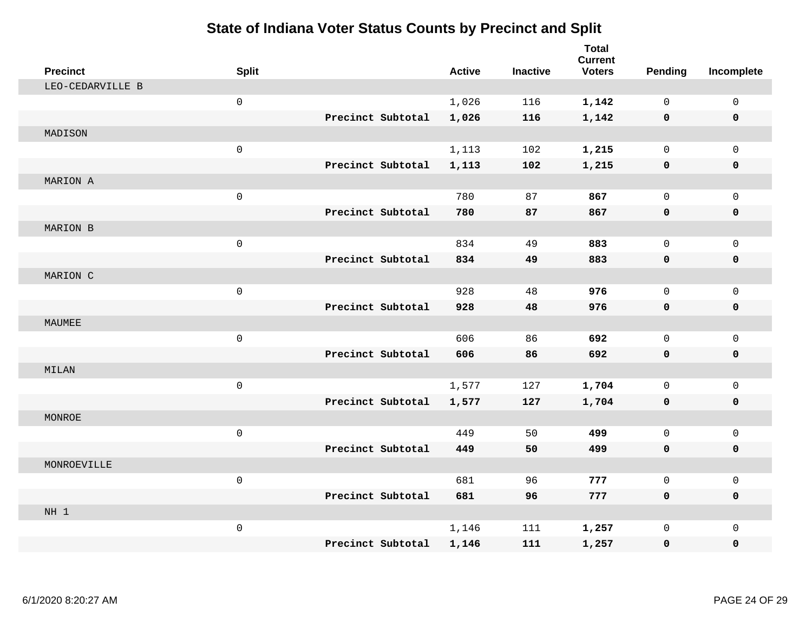| <b>Precinct</b>  | <b>Split</b> |                   | <b>Active</b> | <b>Inactive</b> | <b>Total</b><br><b>Current</b><br><b>Voters</b> | Pending      | Incomplete   |
|------------------|--------------|-------------------|---------------|-----------------|-------------------------------------------------|--------------|--------------|
| LEO-CEDARVILLE B |              |                   |               |                 |                                                 |              |              |
|                  | $\mathsf 0$  |                   | 1,026         | 116             | 1,142                                           | $\mathbf{0}$ | $\mathbf 0$  |
|                  |              | Precinct Subtotal | 1,026         | 116             | 1,142                                           | $\mathbf 0$  | $\mathbf 0$  |
| MADISON          |              |                   |               |                 |                                                 |              |              |
|                  | $\mathsf 0$  |                   | 1,113         | 102             | 1,215                                           | 0            | $\mathbf 0$  |
|                  |              | Precinct Subtotal | 1,113         | 102             | 1,215                                           | 0            | $\mathbf 0$  |
| MARION A         |              |                   |               |                 |                                                 |              |              |
|                  | $\mathbf 0$  |                   | 780           | 87              | 867                                             | 0            | $\mathbf 0$  |
|                  |              | Precinct Subtotal | 780           | 87              | 867                                             | $\mathbf 0$  | $\mathbf 0$  |
| MARION B         |              |                   |               |                 |                                                 |              |              |
|                  | $\mathsf 0$  |                   | 834           | 49              | 883                                             | $\mathbf 0$  | $\mathbf 0$  |
|                  |              | Precinct Subtotal | 834           | 49              | 883                                             | $\mathbf 0$  | $\mathbf 0$  |
| MARION C         |              |                   |               |                 |                                                 |              |              |
|                  | $\mathbf 0$  |                   | 928           | 48              | 976                                             | $\mathbf 0$  | $\mathbf{0}$ |
|                  |              | Precinct Subtotal | 928           | 48              | 976                                             | $\mathbf 0$  | $\mathbf 0$  |
| MAUMEE           |              |                   |               |                 |                                                 |              |              |
|                  | $\mathsf 0$  |                   | 606           | 86              | 692                                             | 0            | $\mathsf{O}$ |
|                  |              | Precinct Subtotal | 606           | 86              | 692                                             | $\mathbf 0$  | $\mathbf 0$  |
| MILAN            |              |                   |               |                 |                                                 |              |              |
|                  | $\mathsf 0$  |                   | 1,577         | 127             | 1,704                                           | 0            | $\mathbf 0$  |
|                  |              | Precinct Subtotal | 1,577         | 127             | 1,704                                           | $\mathbf 0$  | 0            |
| MONROE           |              |                   |               |                 |                                                 |              |              |
|                  | $\mathsf 0$  |                   | 449           | 50              | 499                                             | $\mathsf{O}$ | $\mathsf{O}$ |
|                  |              | Precinct Subtotal | 449           | 50              | 499                                             | $\mathbf 0$  | 0            |
| MONROEVILLE      |              |                   |               |                 |                                                 |              |              |
|                  | $\mathsf 0$  |                   | 681           | 96              | 777                                             | $\mathsf{O}$ | $\mathsf{O}$ |
|                  |              | Precinct Subtotal | 681           | 96              | 777                                             | $\mathbf{0}$ | 0            |
| NH 1             |              |                   |               |                 |                                                 |              |              |
|                  | $\mathsf 0$  |                   | 1,146         | 111             | 1,257                                           | 0            | $\mathbf{0}$ |
|                  |              | Precinct Subtotal | 1,146         | 111             | 1,257                                           | 0            | 0            |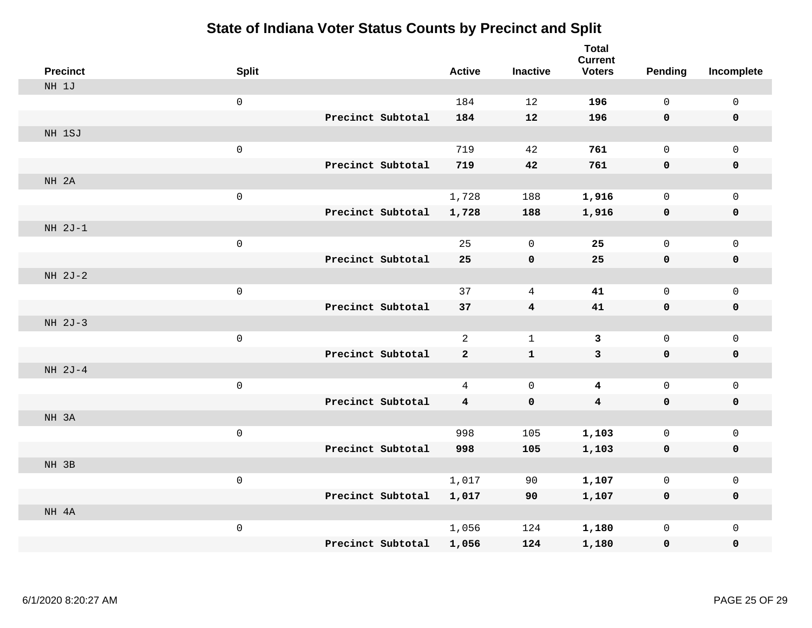| <b>Precinct</b> | <b>Split</b>        |                   | <b>Active</b>  | <b>Inactive</b>         | <b>Total</b><br><b>Current</b><br><b>Voters</b> | Pending      | Incomplete   |
|-----------------|---------------------|-------------------|----------------|-------------------------|-------------------------------------------------|--------------|--------------|
| NH 1J           |                     |                   |                |                         |                                                 |              |              |
|                 | $\mathsf{O}\xspace$ |                   | 184            | 12                      | 196                                             | $\mathbf{0}$ | $\mathsf 0$  |
|                 |                     | Precinct Subtotal | 184            | 12                      | 196                                             | $\mathbf 0$  | $\mathbf 0$  |
| NH 1SJ          |                     |                   |                |                         |                                                 |              |              |
|                 | $\mathsf{O}\xspace$ |                   | 719            | 42                      | 761                                             | $\mathsf{O}$ | $\mathbf 0$  |
|                 |                     | Precinct Subtotal | 719            | 42                      | 761                                             | $\mathbf 0$  | $\mathbf 0$  |
| NH 2A           |                     |                   |                |                         |                                                 |              |              |
|                 | $\mathsf{O}\xspace$ |                   | 1,728          | 188                     | 1,916                                           | 0            | $\mathsf{O}$ |
|                 |                     | Precinct Subtotal | 1,728          | 188                     | 1,916                                           | $\mathbf 0$  | $\mathbf 0$  |
| $NH 2J-1$       |                     |                   |                |                         |                                                 |              |              |
|                 | $\mathsf{O}\xspace$ |                   | 25             | $\mathbf 0$             | 25                                              | $\mathbf{0}$ | $\mathbf 0$  |
|                 |                     | Precinct Subtotal | 25             | $\pmb{0}$               | 25                                              | $\mathbf 0$  | $\pmb{0}$    |
| $NH 2J-2$       |                     |                   |                |                         |                                                 |              |              |
|                 | $\mathsf{O}\xspace$ |                   | 37             | 4                       | 41                                              | 0            | $\mathbf 0$  |
|                 |                     | Precinct Subtotal | 37             | $\overline{\mathbf{4}}$ | 41                                              | 0            | $\mathbf 0$  |
| $NH 2J-3$       |                     |                   |                |                         |                                                 |              |              |
|                 | $\mathsf{O}\xspace$ |                   | $\overline{2}$ | $\mathbf{1}$            | 3                                               | 0            | $\mathsf{O}$ |
|                 |                     | Precinct Subtotal | $\mathbf{2}$   | ${\bf 1}$               | $\mathbf{3}$                                    | $\mathbf 0$  | $\mathbf 0$  |
| NH 2J-4         |                     |                   |                |                         |                                                 |              |              |
|                 | $\mathsf{O}\xspace$ |                   | $\overline{4}$ | $\mathbf 0$             | $\overline{\mathbf{4}}$                         | 0            | $\mathsf{O}$ |
|                 |                     | Precinct Subtotal | 4              | $\mathbf 0$             | $\overline{\mathbf{4}}$                         | 0            | $\mathbf 0$  |
| NH 3A           |                     |                   |                |                         |                                                 |              |              |
|                 | $\mathsf{O}\xspace$ |                   | 998            | 105                     | 1,103                                           | 0            | $\mathbf 0$  |
|                 |                     | Precinct Subtotal | 998            | 105                     | 1,103                                           | $\mathbf 0$  | $\mathbf 0$  |
| NH 3B           |                     |                   |                |                         |                                                 |              |              |
|                 | $\mathsf{O}\xspace$ |                   | 1,017          | 90                      | 1,107                                           | 0            | $\mathsf{O}$ |
|                 |                     | Precinct Subtotal | 1,017          | 90                      | 1,107                                           | 0            | 0            |
| NH 4A           |                     |                   |                |                         |                                                 |              |              |
|                 | $\mathsf{O}\xspace$ |                   | 1,056          | 124                     | 1,180                                           | 0            | $\mathsf{O}$ |
|                 |                     | Precinct Subtotal | 1,056          | 124                     | 1,180                                           | 0            | 0            |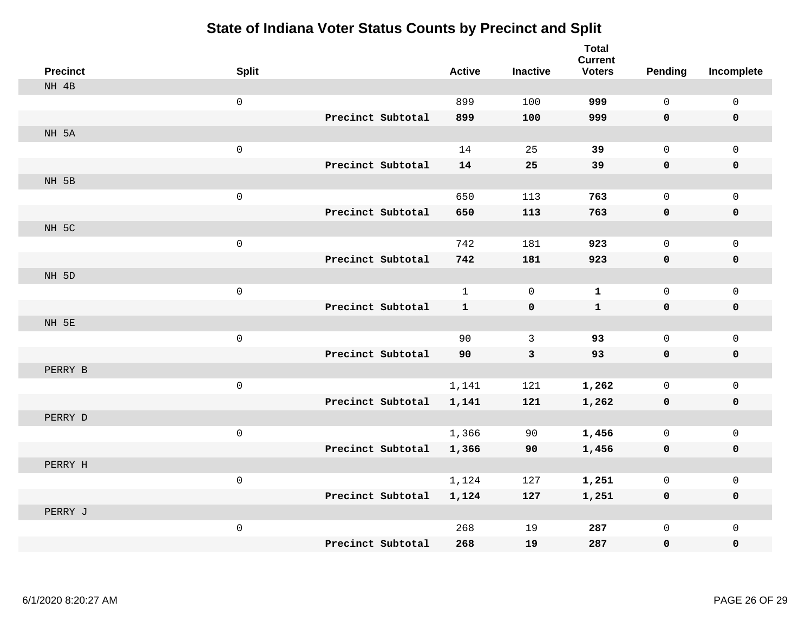| <b>Precinct</b> | <b>Split</b>        |                   | <b>Active</b> | <b>Inactive</b> | <b>Total</b><br><b>Current</b><br><b>Voters</b> | Pending      | Incomplete   |
|-----------------|---------------------|-------------------|---------------|-----------------|-------------------------------------------------|--------------|--------------|
| NH 4B           |                     |                   |               |                 |                                                 |              |              |
|                 | $\mathsf{O}\xspace$ |                   | 899           | 100             | 999                                             | $\mathbf 0$  | $\mathbf{0}$ |
|                 |                     | Precinct Subtotal | 899           | 100             | 999                                             | $\mathbf 0$  | $\mathbf 0$  |
| NH 5A           |                     |                   |               |                 |                                                 |              |              |
|                 | $\mathsf{O}\xspace$ |                   | 14            | 25              | 39                                              | $\mathsf{O}$ | $\mathbf 0$  |
|                 |                     | Precinct Subtotal | 14            | 25              | 39                                              | $\mathbf 0$  | $\mathbf 0$  |
| NH 5B           |                     |                   |               |                 |                                                 |              |              |
|                 | $\mathsf{O}\xspace$ |                   | 650           | 113             | 763                                             | $\mathbf 0$  | $\mathbf 0$  |
|                 |                     | Precinct Subtotal | 650           | 113             | 763                                             | 0            | $\mathbf 0$  |
| NH 5C           |                     |                   |               |                 |                                                 |              |              |
|                 | $\mathsf{O}\xspace$ |                   | 742           | 181             | 923                                             | 0            | $\mathbf 0$  |
|                 |                     | Precinct Subtotal | 742           | 181             | 923                                             | 0            | $\mathbf 0$  |
| NH 5D           |                     |                   |               |                 |                                                 |              |              |
|                 | $\mathsf{O}\xspace$ |                   | $\mathbf{1}$  | $\Omega$        | $\mathbf{1}$                                    | 0            | $\mathbf 0$  |
|                 |                     | Precinct Subtotal | $\mathbf{1}$  | $\mathbf 0$     | $\mathbf{1}$                                    | $\mathbf 0$  | $\mathbf 0$  |
| NH 5E           |                     |                   |               |                 |                                                 |              |              |
|                 | $\mathsf{O}\xspace$ |                   | 90            | 3               | 93                                              | 0            | $\mathsf{O}$ |
|                 |                     | Precinct Subtotal | 90            | $\mathbf{3}$    | 93                                              | $\mathbf 0$  | $\mathbf 0$  |
| PERRY B         |                     |                   |               |                 |                                                 |              |              |
|                 | $\mathsf{O}\xspace$ |                   | 1,141         | 121             | 1,262                                           | 0            | $\mathbf{0}$ |
|                 |                     | Precinct Subtotal | 1,141         | 121             | 1,262                                           | 0            | $\mathbf 0$  |
| PERRY D         |                     |                   |               |                 |                                                 |              |              |
|                 | $\mathsf{O}\xspace$ |                   | 1,366         | 90              | 1,456                                           | 0            | $\mathbf 0$  |
|                 |                     | Precinct Subtotal | 1,366         | 90              | 1,456                                           | 0            | $\mathbf 0$  |
| PERRY H         |                     |                   |               |                 |                                                 |              |              |
|                 | $\mathsf{O}\xspace$ |                   | 1,124         | 127             | 1,251                                           | 0            | $\mathsf{O}$ |
|                 |                     | Precinct Subtotal | 1,124         | 127             | 1,251                                           | 0            | 0            |
| PERRY J         |                     |                   |               |                 |                                                 |              |              |
|                 | $\mathsf{O}\xspace$ |                   | 268           | 19              | 287                                             | 0            | $\mathbf 0$  |
|                 |                     | Precinct Subtotal | 268           | 19              | 287                                             | 0            | 0            |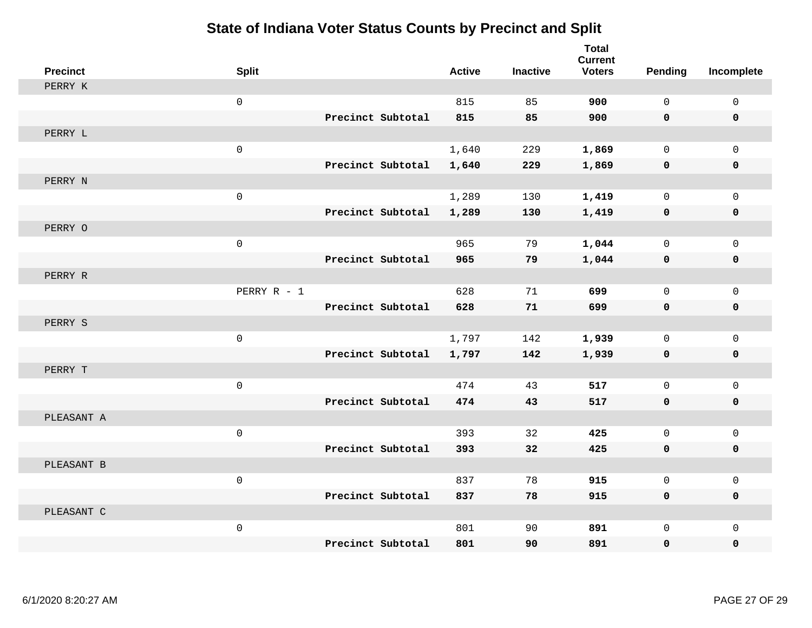| <b>Precinct</b> | <b>Split</b>        |                   | <b>Active</b> | <b>Inactive</b> | <b>Total</b><br><b>Current</b><br><b>Voters</b> | <b>Pending</b> | Incomplete   |
|-----------------|---------------------|-------------------|---------------|-----------------|-------------------------------------------------|----------------|--------------|
| PERRY K         |                     |                   |               |                 |                                                 |                |              |
|                 | $\mathsf{O}\xspace$ |                   | 815           | 85              | 900                                             | $\Omega$       | $\mathbf 0$  |
|                 |                     | Precinct Subtotal | 815           | 85              | 900                                             | $\mathbf 0$    | $\mathbf 0$  |
| PERRY L         |                     |                   |               |                 |                                                 |                |              |
|                 | $\mathsf{O}\xspace$ |                   | 1,640         | 229             | 1,869                                           | $\mathbf 0$    | $\mathbf 0$  |
|                 |                     | Precinct Subtotal | 1,640         | 229             | 1,869                                           | $\mathbf 0$    | $\mathbf 0$  |
| PERRY N         |                     |                   |               |                 |                                                 |                |              |
|                 | $\mathsf{O}\xspace$ |                   | 1,289         | 130             | 1,419                                           | 0              | $\mathbf 0$  |
|                 |                     | Precinct Subtotal | 1,289         | 130             | 1,419                                           | 0              | $\mathbf 0$  |
| PERRY O         |                     |                   |               |                 |                                                 |                |              |
|                 | $\mathsf{O}\xspace$ |                   | 965           | 79              | 1,044                                           | 0              | $\mathbf 0$  |
|                 |                     | Precinct Subtotal | 965           | 79              | 1,044                                           | 0              | 0            |
| PERRY R         |                     |                   |               |                 |                                                 |                |              |
|                 | PERRY R - 1         |                   | 628           | 71              | 699                                             | 0              | $\mathbf{0}$ |
|                 |                     | Precinct Subtotal | 628           | 71              | 699                                             | 0              | $\mathbf 0$  |
| PERRY S         |                     |                   |               |                 |                                                 |                |              |
|                 | $\mathbf 0$         |                   | 1,797         | 142             | 1,939                                           | 0              | $\mathbf 0$  |
|                 |                     | Precinct Subtotal | 1,797         | 142             | 1,939                                           | 0              | $\mathbf 0$  |
| PERRY T         |                     |                   |               |                 |                                                 |                |              |
|                 | $\mathbf 0$         |                   | 474           | 43              | 517                                             | 0              | $\mathsf{O}$ |
|                 |                     | Precinct Subtotal | 474           | 43              | 517                                             | 0              | $\mathbf 0$  |
| PLEASANT A      |                     |                   |               |                 |                                                 |                |              |
|                 | $\mathsf{O}\xspace$ |                   | 393           | 32              | 425                                             | 0              | $\mathbf 0$  |
|                 |                     | Precinct Subtotal | 393           | 32              | 425                                             | 0              | $\mathbf 0$  |
| PLEASANT B      |                     |                   |               |                 |                                                 |                |              |
|                 | $\mathbf 0$         |                   | 837           | 78              | 915                                             | 0              | $\mathbf 0$  |
|                 |                     | Precinct Subtotal | 837           | 78              | 915                                             | 0              | $\mathbf 0$  |
| PLEASANT C      |                     |                   |               |                 |                                                 |                |              |
|                 | $\mathsf{O}\xspace$ |                   | 801           | 90              | 891                                             | 0              | $\mathbf 0$  |
|                 |                     | Precinct Subtotal | 801           | 90              | 891                                             | 0              | $\mathbf 0$  |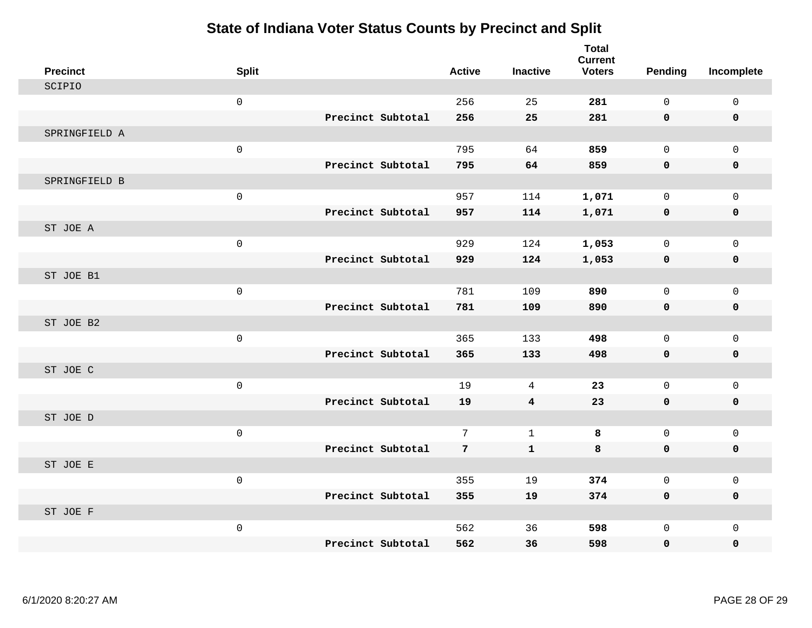| <b>Precinct</b> | <b>Split</b>        |                   | <b>Active</b> | <b>Inactive</b>         | <b>Total</b><br><b>Current</b><br><b>Voters</b> | <b>Pending</b> | Incomplete   |
|-----------------|---------------------|-------------------|---------------|-------------------------|-------------------------------------------------|----------------|--------------|
| SCIPIO          |                     |                   |               |                         |                                                 |                |              |
|                 | $\mathsf 0$         |                   | 256           | 25                      | 281                                             | 0              | $\mathsf 0$  |
|                 |                     | Precinct Subtotal | 256           | 25                      | 281                                             | 0              | 0            |
| SPRINGFIELD A   |                     |                   |               |                         |                                                 |                |              |
|                 | $\mathsf 0$         |                   | 795           | 64                      | 859                                             | 0              | $\mathsf{O}$ |
|                 |                     | Precinct Subtotal | 795           | 64                      | 859                                             | 0              | 0            |
| SPRINGFIELD B   |                     |                   |               |                         |                                                 |                |              |
|                 | $\mathsf{O}\xspace$ |                   | 957           | 114                     | 1,071                                           | 0              | $\mathsf{O}$ |
|                 |                     | Precinct Subtotal | 957           | 114                     | 1,071                                           | 0              | 0            |
| ST JOE A        |                     |                   |               |                         |                                                 |                |              |
|                 | $\mathsf{O}$        |                   | 929           | 124                     | 1,053                                           | $\mathbf 0$    | $\mathbf 0$  |
|                 |                     | Precinct Subtotal | 929           | 124                     | 1,053                                           | 0              | 0            |
| ST JOE B1       |                     |                   |               |                         |                                                 |                |              |
|                 | $\mathsf{O}$        |                   | 781           | 109                     | 890                                             | $\Omega$       | $\mathsf{O}$ |
|                 |                     | Precinct Subtotal | 781           | 109                     | 890                                             | 0              | 0            |
| ST JOE B2       |                     |                   |               |                         |                                                 |                |              |
|                 | $\mathsf{O}$        |                   | 365           | 133                     | 498                                             | $\mathbf 0$    | $\mathbf{0}$ |
|                 |                     | Precinct Subtotal | 365           | 133                     | 498                                             | 0              | 0            |
| ST JOE C        |                     |                   |               |                         |                                                 |                |              |
|                 | $\mathsf{O}$        |                   | 19            | 4                       | 23                                              | $\Omega$       | $\mathbf 0$  |
|                 |                     | Precinct Subtotal | 19            | $\overline{\mathbf{4}}$ | 23                                              | 0              | $\mathbf 0$  |
| ST JOE D        |                     |                   |               |                         |                                                 |                |              |
|                 | $\mathsf{O}$        | Precinct Subtotal | 7             | $\mathbf 1$             | 8                                               | $\mathbf 0$    | $\mathsf{O}$ |
| ST JOE E        |                     |                   | 7             | ${\bf 1}$               | 8                                               | 0              | 0            |
|                 | $\mathsf{O}$        |                   | 355           | 19                      | 374                                             | 0              | $\mathbf 0$  |
|                 |                     | Precinct Subtotal | 355           | 19                      | 374                                             | 0              | 0            |
| ST JOE F        |                     |                   |               |                         |                                                 |                |              |
|                 | $\mathsf{O}$        |                   | 562           | 36                      | 598                                             | 0              | $\mathsf{O}$ |
|                 |                     | Precinct Subtotal | 562           | 36                      | 598                                             | 0              | 0            |
|                 |                     |                   |               |                         |                                                 |                |              |